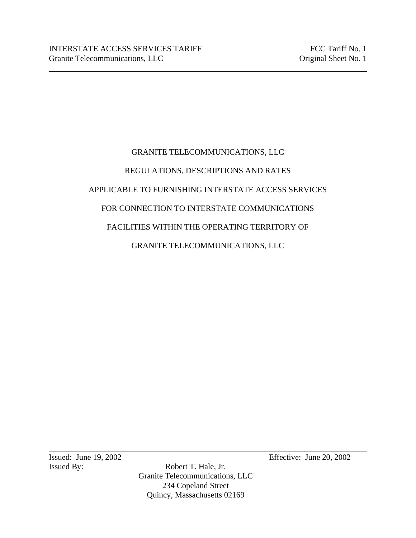# GRANITE TELECOMMUNICATIONS, LLC REGULATIONS, DESCRIPTIONS AND RATES APPLICABLE TO FURNISHING INTERSTATE ACCESS SERVICES FOR CONNECTION TO INTERSTATE COMMUNICATIONS FACILITIES WITHIN THE OPERATING TERRITORY OF GRANITE TELECOMMUNICATIONS, LLC

Issued By: Robert T. Hale, Jr. Granite Telecommunications, LLC 234 Copeland Street Quincy, Massachusetts 02169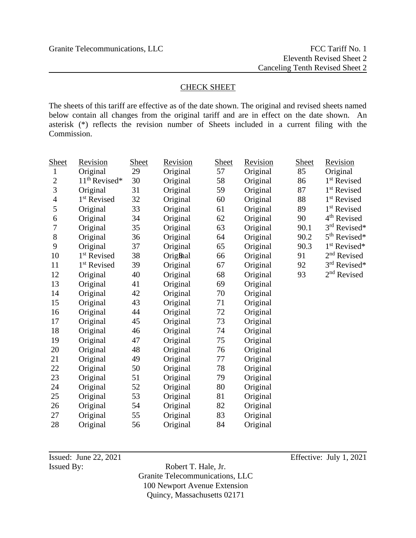## CHECK SHEET

The sheets of this tariff are effective as of the date shown. The original and revised sheets named below contain all changes from the original tariff and are in effect on the date shown. An asterisk (\*) reflects the revision number of Sheets included in a current filing with the Commission.

| <b>Sheet</b>   | Revision                | <b>Sheet</b> | Revision | <b>Sheet</b> | Revision | <b>Sheet</b> | Revision                 |
|----------------|-------------------------|--------------|----------|--------------|----------|--------------|--------------------------|
| $\mathbf{1}$   | Original                | 29           | Original | 57           | Original | 85           | Original                 |
| $\overline{2}$ | $11th$ Revised*         | 30           | Original | 58           | Original | 86           | 1 <sup>st</sup> Revised  |
| 3              | Original                | 31           | Original | 59           | Original | 87           | 1 <sup>st</sup> Revised  |
| 4              | 1 <sup>st</sup> Revised | 32           | Original | 60           | Original | 88           | 1 <sup>st</sup> Revised  |
| 5              | Original                | 33           | Original | 61           | Original | 89           | 1 <sup>st</sup> Revised  |
| 6              | Original                | 34           | Original | 62           | Original | 90           | 4 <sup>th</sup> Revised  |
| 7              | Original                | 35           | Original | 63           | Original | 90.1         | 3rd Revised*             |
| $8\,$          | Original                | 36           | Original | 64           | Original | 90.2         | 5 <sup>th</sup> Revised* |
| 9              | Original                | 37           | Original | 65           | Original | 90.3         | 1 <sup>st</sup> Revised* |
| 10             | 1 <sup>st</sup> Revised | 38           | Orighal  | 66           | Original | 91           | 2 <sup>nd</sup> Revised  |
| 11             | 1 <sup>st</sup> Revised | 39           | Original | 67           | Original | 92           | 3rd Revised*             |
| 12             | Original                | 40           | Original | 68           | Original | 93           | 2 <sup>nd</sup> Revised  |
| 13             | Original                | 41           | Original | 69           | Original |              |                          |
| 14             | Original                | 42           | Original | 70           | Original |              |                          |
| 15             | Original                | 43           | Original | 71           | Original |              |                          |
| 16             | Original                | 44           | Original | 72           | Original |              |                          |
| 17             | Original                | 45           | Original | 73           | Original |              |                          |
| 18             | Original                | 46           | Original | 74           | Original |              |                          |
| 19             | Original                | 47           | Original | 75           | Original |              |                          |
| 20             | Original                | 48           | Original | 76           | Original |              |                          |
| 21             | Original                | 49           | Original | 77           | Original |              |                          |
| 22             | Original                | 50           | Original | 78           | Original |              |                          |
| 23             | Original                | 51           | Original | 79           | Original |              |                          |
| 24             | Original                | 52           | Original | 80           | Original |              |                          |
| 25             | Original                | 53           | Original | 81           | Original |              |                          |
| 26             | Original                | 54           | Original | 82           | Original |              |                          |
| 27             | Original                | 55           | Original | 83           | Original |              |                          |
| 28             | Original                | 56           | Original | 84           | Original |              |                          |

Issued By: Robert T. Hale, Jr. Granite Telecommunications, LLC 100 Newport Avenue Extension Quincy, Massachusetts 02171

Issued: June 22, 2021 Effective: July 1, 2021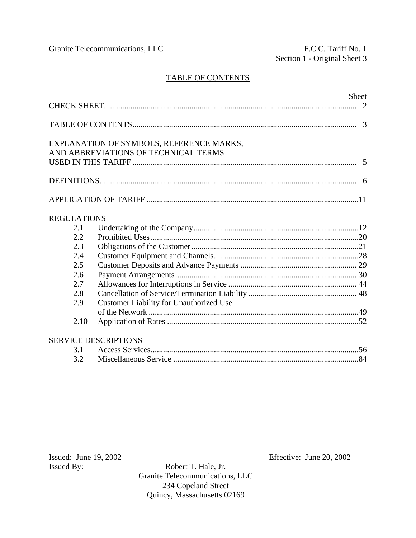## TABLE OF CONTENTS

|                    | Sheet                                                                            | 2 |
|--------------------|----------------------------------------------------------------------------------|---|
|                    |                                                                                  |   |
|                    | EXPLANATION OF SYMBOLS, REFERENCE MARKS,<br>AND ABBREVIATIONS OF TECHNICAL TERMS |   |
|                    |                                                                                  |   |
|                    |                                                                                  |   |
| <b>REGULATIONS</b> |                                                                                  |   |
| 2.1                |                                                                                  |   |
| 2.2                |                                                                                  |   |
| 2.3                |                                                                                  |   |
| 2.4                |                                                                                  |   |
| 2.5                |                                                                                  |   |
| 2.6                |                                                                                  |   |
| 2.7                |                                                                                  |   |
| 2.8                |                                                                                  |   |
| 2.9                | <b>Customer Liability for Unauthorized Use</b>                                   |   |
|                    |                                                                                  |   |
| 2.10               |                                                                                  |   |
|                    | <b>SERVICE DESCRIPTIONS</b>                                                      |   |
| 3.1                |                                                                                  |   |
| 3.2                |                                                                                  |   |

Robert T. Hale, Jr. Granite Telecommunications, LLC 234 Copeland Street Quincy, Massachusetts 02169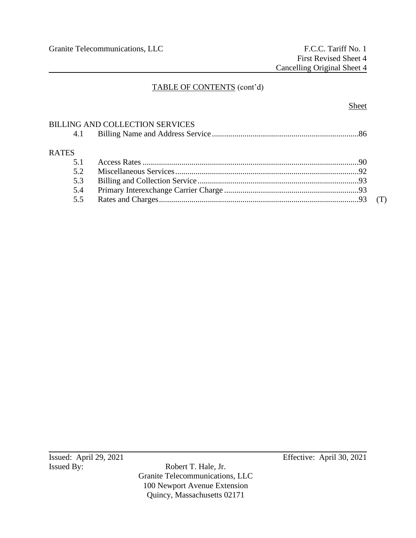## TABLE OF CONTENTS (cont'd)

## BILLING AND COLLECTION SERVICES

| 4.1          |  |  |
|--------------|--|--|
| <b>RATES</b> |  |  |
| 51           |  |  |
| 52           |  |  |
| 5.3          |  |  |
| 5.4          |  |  |
| 5.5          |  |  |

Issued: April 29, 2021<br>Issued By: Robert T. Hale, Jr. Effective: April 30, 2021

Robert T. Hale, Jr. Granite Telecommunications, LLC 100 Newport Avenue Extension Quincy, Massachusetts 02171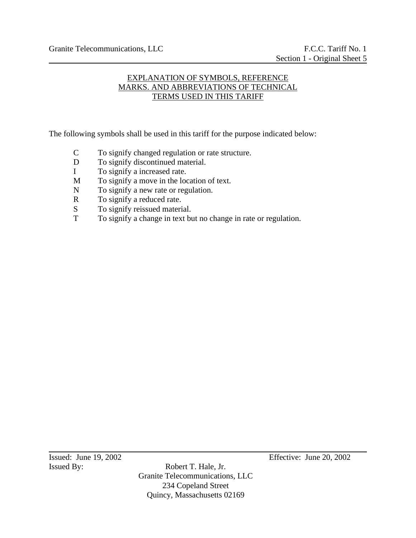## EXPLANATION OF SYMBOLS, REFERENCE MARKS. AND ABBREVIATIONS OF TECHNICAL TERMS USED IN THIS TARIFF

The following symbols shall be used in this tariff for the purpose indicated below:

- C To signify changed regulation or rate structure.
- D To signify discontinued material.
- I To signify a increased rate.
- M To signify a move in the location of text.
- N To signify a new rate or regulation.
- R To signify a reduced rate.
- S To signify reissued material.
- T To signify a change in text but no change in rate or regulation.

Issued By: Robert T. Hale, Jr. Granite Telecommunications, LLC 234 Copeland Street Quincy, Massachusetts 02169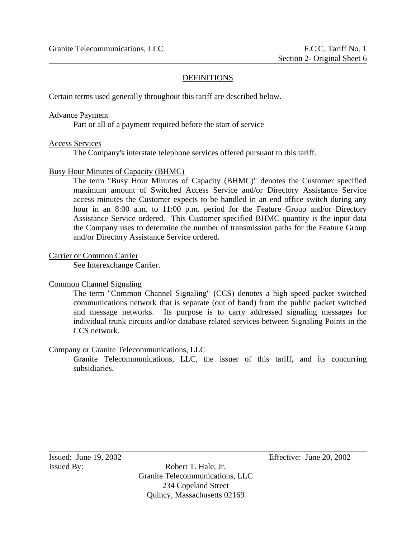#### **DEFINITIONS**

Certain terms used generally throughout this tariff are described below.

#### Advance Payment

Part or all of a payment required before the start of service

#### Access Services

The Company's interstate telephone services offered pursuant to this tariff.

#### Busy Hour Minutes of Capacity (BHMC)

The term "Busy Hour Minutes of Capacity (BHMC)" denotes the Customer specified maximum amount of Switched Access Service and/or Directory Assistance Service access minutes the Customer expects to be handled in an end office switch during any hour in an 8:00 a.m. to 11:00 p.m. period for the Feature Group and/or Directory Assistance Service ordered. This Customer specified BHMC quantity is the input data the Company uses to determine the number of transmission paths for the Feature Group and/or Directory Assistance Service ordered.

#### Carrier or Common Carrier

See Interexchange Carrier.

#### Common Channel Signaling

The term "Common Channel Signaling" (CCS) denotes a high speed packet switched communications network that is separate (out of band) from the public packet switched and message networks. Its purpose is to carry addressed signaling messages for individual trunk circuits and/or database related services between Signaling Points in the CCS network.

#### Company or Granite Telecommunications, LLC

Granite Telecommunications, LLC, the issuer of this tariff, and its concurring subsidiaries.

Issued By: Robert T. Hale, Jr. Granite Telecommunications, LLC 234 Copeland Street Quincy, Massachusetts 02169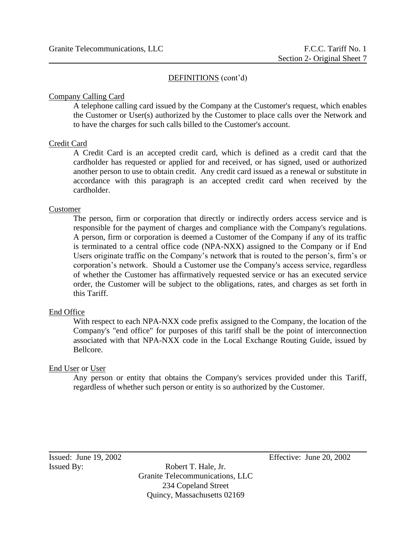#### Company Calling Card

A telephone calling card issued by the Company at the Customer's request, which enables the Customer or User(s) authorized by the Customer to place calls over the Network and to have the charges for such calls billed to the Customer's account.

#### Credit Card

A Credit Card is an accepted credit card, which is defined as a credit card that the cardholder has requested or applied for and received, or has signed, used or authorized another person to use to obtain credit. Any credit card issued as a renewal or substitute in accordance with this paragraph is an accepted credit card when received by the cardholder.

#### Customer

The person, firm or corporation that directly or indirectly orders access service and is responsible for the payment of charges and compliance with the Company's regulations. A person, firm or corporation is deemed a Customer of the Company if any of its traffic is terminated to a central office code (NPA-NXX) assigned to the Company or if End Users originate traffic on the Company's network that is routed to the person's, firm's or corporation's network. Should a Customer use the Company's access service, regardless of whether the Customer has affirmatively requested service or has an executed service order, the Customer will be subject to the obligations, rates, and charges as set forth in this Tariff.

#### End Office

With respect to each NPA-NXX code prefix assigned to the Company, the location of the Company's "end office" for purposes of this tariff shall be the point of interconnection associated with that NPA-NXX code in the Local Exchange Routing Guide, issued by Bellcore.

#### End User or User

Any person or entity that obtains the Company's services provided under this Tariff, regardless of whether such person or entity is so authorized by the Customer.

Issued By: Robert T. Hale, Jr. Granite Telecommunications, LLC 234 Copeland Street Quincy, Massachusetts 02169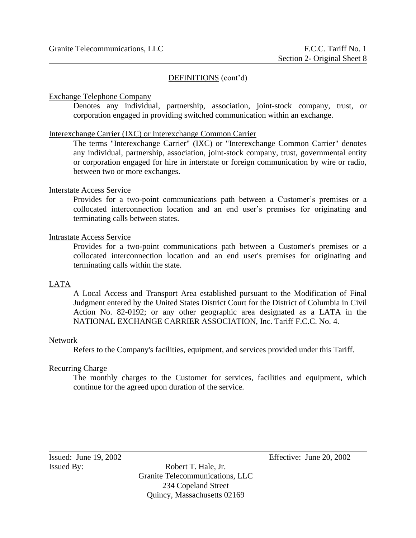#### Exchange Telephone Company

Denotes any individual, partnership, association, joint-stock company, trust, or corporation engaged in providing switched communication within an exchange.

#### Interexchange Carrier (IXC) or Interexchange Common Carrier

The terms "Interexchange Carrier" (IXC) or "Interexchange Common Carrier" denotes any individual, partnership, association, joint-stock company, trust, governmental entity or corporation engaged for hire in interstate or foreign communication by wire or radio, between two or more exchanges.

#### Interstate Access Service

Provides for a two-point communications path between a Customer's premises or a collocated interconnection location and an end user's premises for originating and terminating calls between states.

#### Intrastate Access Service

Provides for a two-point communications path between a Customer's premises or a collocated interconnection location and an end user's premises for originating and terminating calls within the state.

#### LATA

A Local Access and Transport Area established pursuant to the Modification of Final Judgment entered by the United States District Court for the District of Columbia in Civil Action No. 82-0192; or any other geographic area designated as a LATA in the NATIONAL EXCHANGE CARRIER ASSOCIATION, Inc. Tariff F.C.C. No. 4.

#### Network

Refers to the Company's facilities, equipment, and services provided under this Tariff.

#### Recurring Charge

The monthly charges to the Customer for services, facilities and equipment, which continue for the agreed upon duration of the service.

Issued By: Robert T. Hale, Jr. Granite Telecommunications, LLC 234 Copeland Street Quincy, Massachusetts 02169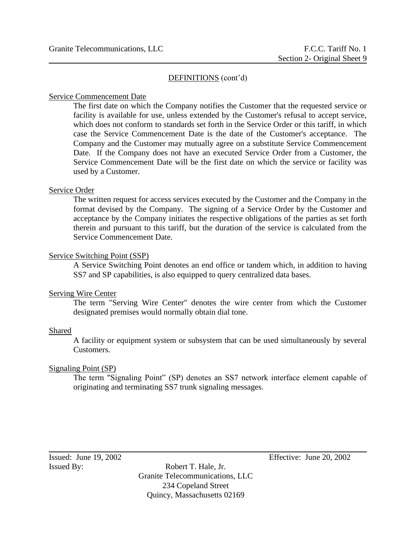#### Service Commencement Date

The first date on which the Company notifies the Customer that the requested service or facility is available for use, unless extended by the Customer's refusal to accept service, which does not conform to standards set forth in the Service Order or this tariff, in which case the Service Commencement Date is the date of the Customer's acceptance. The Company and the Customer may mutually agree on a substitute Service Commencement Date. If the Company does not have an executed Service Order from a Customer, the Service Commencement Date will be the first date on which the service or facility was used by a Customer.

#### Service Order

The written request for access services executed by the Customer and the Company in the format devised by the Company. The signing of a Service Order by the Customer and acceptance by the Company initiates the respective obligations of the parties as set forth therein and pursuant to this tariff, but the duration of the service is calculated from the Service Commencement Date.

#### Service Switching Point (SSP)

A Service Switching Point denotes an end office or tandem which, in addition to having SS7 and SP capabilities, is also equipped to query centralized data bases.

#### Serving Wire Center

The term "Serving Wire Center" denotes the wire center from which the Customer designated premises would normally obtain dial tone.

#### Shared

A facility or equipment system or subsystem that can be used simultaneously by several Customers.

#### Signaling Point (SP)

The term "Signaling Point" (SP) denotes an SS7 network interface element capable of originating and terminating SS7 trunk signaling messages.

Issued By: Robert T. Hale, Jr. Granite Telecommunications, LLC 234 Copeland Street Quincy, Massachusetts 02169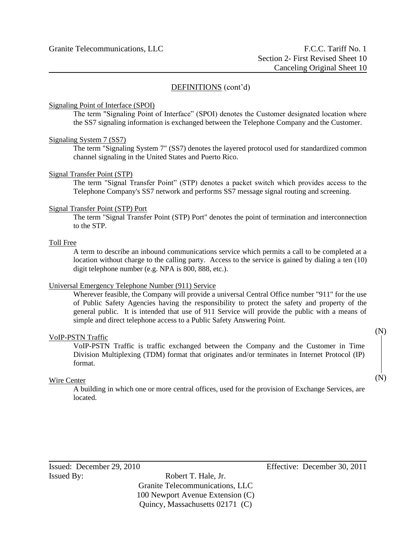#### Signaling Point of Interface (SPOI)

The term "Signaling Point of Interface" (SPOI) denotes the Customer designated location where the SS7 signaling information is exchanged between the Telephone Company and the Customer.

#### Signaling System 7 (SS7)

The term "Signaling System 7" (SS7) denotes the layered protocol used for standardized common channel signaling in the United States and Puerto Rico.

#### Signal Transfer Point (STP)

The term "Signal Transfer Point" (STP) denotes a packet switch which provides access to the Telephone Company's SS7 network and performs SS7 message signal routing and screening.

#### Signal Transfer Point (STP) Port

The term "Signal Transfer Point (STP) Port" denotes the point of termination and interconnection to the STP.

#### Toll Free

A term to describe an inbound communications service which permits a call to be completed at a location without charge to the calling party. Access to the service is gained by dialing a ten (10) digit telephone number (e.g. NPA is 800, 888, etc.).

#### Universal Emergency Telephone Number (911) Service

Wherever feasible, the Company will provide a universal Central Office number "911" for the use of Public Safety Agencies having the responsibility to protect the safety and property of the general public. It is intended that use of 911 Service will provide the public with a means of simple and direct telephone access to a Public Safety Answering Point.

#### VoIP-PSTN Traffic

VoIP-PSTN Traffic is traffic exchanged between the Company and the Customer in Time Division Multiplexing (TDM) format that originates and/or terminates in Internet Protocol (IP) format.

#### Wire Center

A building in which one or more central offices, used for the provision of Exchange Services, are located.

Granite Telecommunications, LLC 100 Newport Avenue Extension (C) Quincy, Massachusetts 02171 (C)

(N)

(N)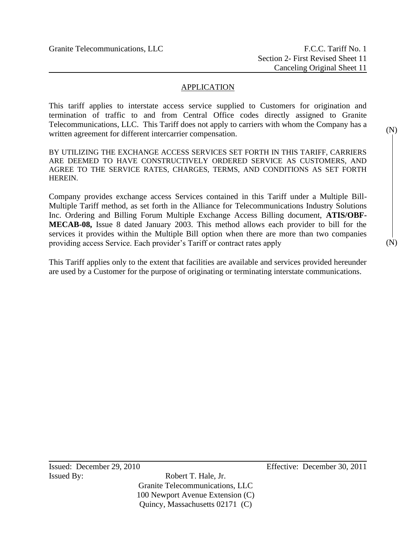## APPLICATION

This tariff applies to interstate access service supplied to Customers for origination and termination of traffic to and from Central Office codes directly assigned to Granite Telecommunications, LLC. This Tariff does not apply to carriers with whom the Company has a written agreement for different intercarrier compensation.

BY UTILIZING THE EXCHANGE ACCESS SERVICES SET FORTH IN THIS TARIFF, CARRIERS ARE DEEMED TO HAVE CONSTRUCTIVELY ORDERED SERVICE AS CUSTOMERS, AND AGREE TO THE SERVICE RATES, CHARGES, TERMS, AND CONDITIONS AS SET FORTH **HEREIN** 

Company provides exchange access Services contained in this Tariff under a Multiple Bill-Multiple Tariff method, as set forth in the Alliance for Telecommunications Industry Solutions Inc. Ordering and Billing Forum Multiple Exchange Access Billing document, **ATIS/OBF-MECAB-08,** Issue 8 dated January 2003. This method allows each provider to bill for the services it provides within the Multiple Bill option when there are more than two companies providing access Service. Each provider's Tariff or contract rates apply

This Tariff applies only to the extent that facilities are available and services provided hereunder are used by a Customer for the purpose of originating or terminating interstate communications.

(N)

(N)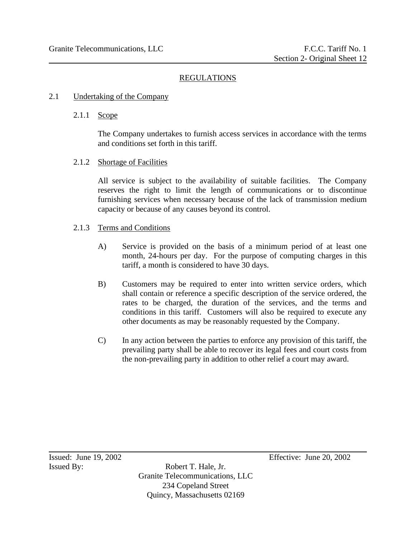#### REGULATIONS

#### 2.1 Undertaking of the Company

#### 2.1.1 Scope

The Company undertakes to furnish access services in accordance with the terms and conditions set forth in this tariff.

#### 2.1.2 Shortage of Facilities

All service is subject to the availability of suitable facilities. The Company reserves the right to limit the length of communications or to discontinue furnishing services when necessary because of the lack of transmission medium capacity or because of any causes beyond its control.

#### 2.1.3 Terms and Conditions

- A) Service is provided on the basis of a minimum period of at least one month, 24-hours per day. For the purpose of computing charges in this tariff, a month is considered to have 30 days.
- B) Customers may be required to enter into written service orders, which shall contain or reference a specific description of the service ordered, the rates to be charged, the duration of the services, and the terms and conditions in this tariff. Customers will also be required to execute any other documents as may be reasonably requested by the Company.
- C) In any action between the parties to enforce any provision of this tariff, the prevailing party shall be able to recover its legal fees and court costs from the non-prevailing party in addition to other relief a court may award.

Issued By: Robert T. Hale, Jr. Granite Telecommunications, LLC 234 Copeland Street Quincy, Massachusetts 02169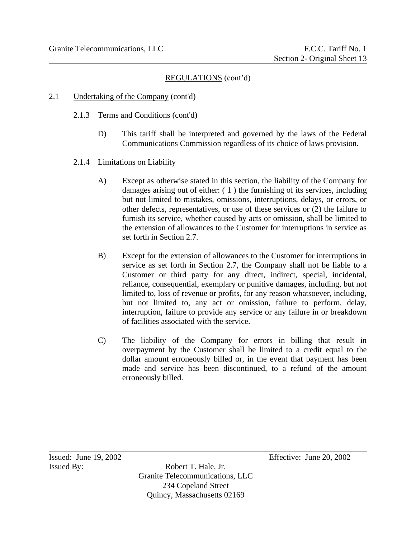- 2.1 Undertaking of the Company (cont'd)
	- 2.1.3 Terms and Conditions (cont'd)
		- D) This tariff shall be interpreted and governed by the laws of the Federal Communications Commission regardless of its choice of laws provision.
	- 2.1.4 Limitations on Liability
		- A) Except as otherwise stated in this section, the liability of the Company for damages arising out of either: ( 1 ) the furnishing of its services, including but not limited to mistakes, omissions, interruptions, delays, or errors, or other defects, representatives, or use of these services or (2) the failure to furnish its service, whether caused by acts or omission, shall be limited to the extension of allowances to the Customer for interruptions in service as set forth in Section 2.7.
		- B) Except for the extension of allowances to the Customer for interruptions in service as set forth in Section 2.7, the Company shall not be liable to a Customer or third party for any direct, indirect, special, incidental, reliance, consequential, exemplary or punitive damages, including, but not limited to, loss of revenue or profits, for any reason whatsoever, including, but not limited to, any act or omission, failure to perform, delay, interruption, failure to provide any service or any failure in or breakdown of facilities associated with the service.
		- C) The liability of the Company for errors in billing that result in overpayment by the Customer shall be limited to a credit equal to the dollar amount erroneously billed or, in the event that payment has been made and service has been discontinued, to a refund of the amount erroneously billed.

Issued By: Robert T. Hale, Jr. Granite Telecommunications, LLC 234 Copeland Street Quincy, Massachusetts 02169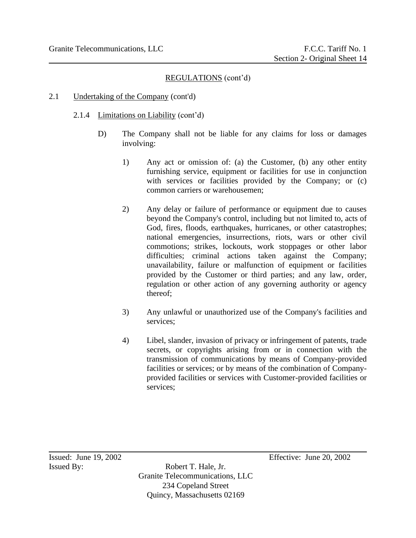## 2.1 Undertaking of the Company (cont'd)

## 2.1.4 Limitations on Liability (cont'd)

- D) The Company shall not be liable for any claims for loss or damages involving:
	- 1) Any act or omission of: (a) the Customer, (b) any other entity furnishing service, equipment or facilities for use in conjunction with services or facilities provided by the Company; or  $(c)$ common carriers or warehousemen;
	- 2) Any delay or failure of performance or equipment due to causes beyond the Company's control, including but not limited to, acts of God, fires, floods, earthquakes, hurricanes, or other catastrophes; national emergencies, insurrections, riots, wars or other civil commotions; strikes, lockouts, work stoppages or other labor difficulties; criminal actions taken against the Company; unavailability, failure or malfunction of equipment or facilities provided by the Customer or third parties; and any law, order, regulation or other action of any governing authority or agency thereof;
	- 3) Any unlawful or unauthorized use of the Company's facilities and services;
	- 4) Libel, slander, invasion of privacy or infringement of patents, trade secrets, or copyrights arising from or in connection with the transmission of communications by means of Company-provided facilities or services; or by means of the combination of Companyprovided facilities or services with Customer-provided facilities or services;

Issued By: Robert T. Hale, Jr. Granite Telecommunications, LLC 234 Copeland Street Quincy, Massachusetts 02169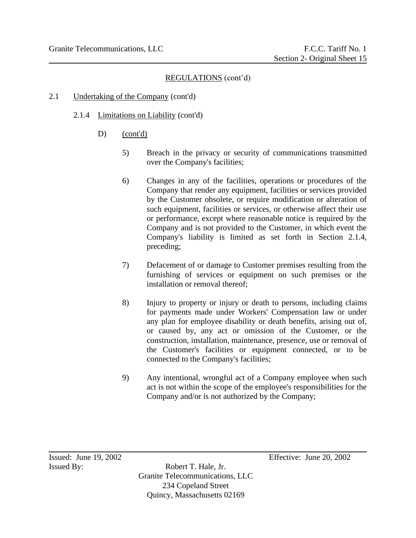#### 2.1 Undertaking of the Company (cont'd)

- 2.1.4 Limitations on Liability (cont'd)
	- D) (cont'd)
		- 5) Breach in the privacy or security of communications transmitted over the Company's facilities;
		- 6) Changes in any of the facilities, operations or procedures of the Company that render any equipment, facilities or services provided by the Customer obsolete, or require modification or alteration of such equipment, facilities or services, or otherwise affect their use or performance, except where reasonable notice is required by the Company and is not provided to the Customer, in which event the Company's liability is limited as set forth in Section 2.1.4, preceding;
		- 7) Defacement of or damage to Customer premises resulting from the furnishing of services or equipment on such premises or the installation or removal thereof;
		- 8) Injury to property or injury or death to persons, including claims for payments made under Workers' Compensation law or under any plan for employee disability or death benefits, arising out of, or caused by, any act or omission of the Customer, or the construction, installation, maintenance, presence, use or removal of the Customer's facilities or equipment connected, or to be connected to the Company's facilities;
		- 9) Any intentional, wrongful act of a Company employee when such act is not within the scope of the employee's responsibilities for the Company and/or is not authorized by the Company;

Issued By: Robert T. Hale, Jr. Granite Telecommunications, LLC 234 Copeland Street Quincy, Massachusetts 02169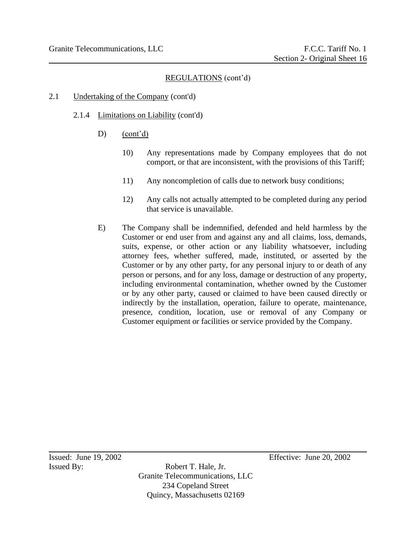#### 2.1 Undertaking of the Company (cont'd)

- 2.1.4 Limitations on Liability (cont'd)
	- D) (cont'd)
		- 10) Any representations made by Company employees that do not comport, or that are inconsistent, with the provisions of this Tariff;
		- 11) Any noncompletion of calls due to network busy conditions;
		- 12) Any calls not actually attempted to be completed during any period that service is unavailable.
	- E) The Company shall be indemnified, defended and held harmless by the Customer or end user from and against any and all claims, loss, demands, suits, expense, or other action or any liability whatsoever, including attorney fees, whether suffered, made, instituted, or asserted by the Customer or by any other party, for any personal injury to or death of any person or persons, and for any loss, damage or destruction of any property, including environmental contamination, whether owned by the Customer or by any other party, caused or claimed to have been caused directly or indirectly by the installation, operation, failure to operate, maintenance, presence, condition, location, use or removal of any Company or Customer equipment or facilities or service provided by the Company.

Issued By: Robert T. Hale, Jr. Granite Telecommunications, LLC 234 Copeland Street Quincy, Massachusetts 02169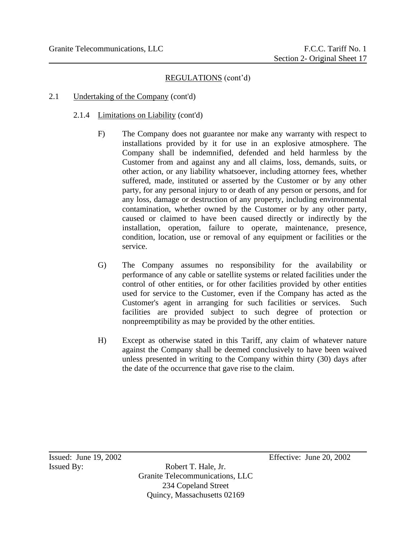## 2.1 Undertaking of the Company (cont'd)

#### 2.1.4 Limitations on Liability (cont'd)

- F) The Company does not guarantee nor make any warranty with respect to installations provided by it for use in an explosive atmosphere. The Company shall be indemnified, defended and held harmless by the Customer from and against any and all claims, loss, demands, suits, or other action, or any liability whatsoever, including attorney fees, whether suffered, made, instituted or asserted by the Customer or by any other party, for any personal injury to or death of any person or persons, and for any loss, damage or destruction of any property, including environmental contamination, whether owned by the Customer or by any other party, caused or claimed to have been caused directly or indirectly by the installation, operation, failure to operate, maintenance, presence, condition, location, use or removal of any equipment or facilities or the service.
- G) The Company assumes no responsibility for the availability or performance of any cable or satellite systems or related facilities under the control of other entities, or for other facilities provided by other entities used for service to the Customer, even if the Company has acted as the Customer's agent in arranging for such facilities or services. Such facilities are provided subject to such degree of protection or nonpreemptibility as may be provided by the other entities.
- H) Except as otherwise stated in this Tariff, any claim of whatever nature against the Company shall be deemed conclusively to have been waived unless presented in writing to the Company within thirty (30) days after the date of the occurrence that gave rise to the claim.

Issued By: Robert T. Hale, Jr. Granite Telecommunications, LLC 234 Copeland Street Quincy, Massachusetts 02169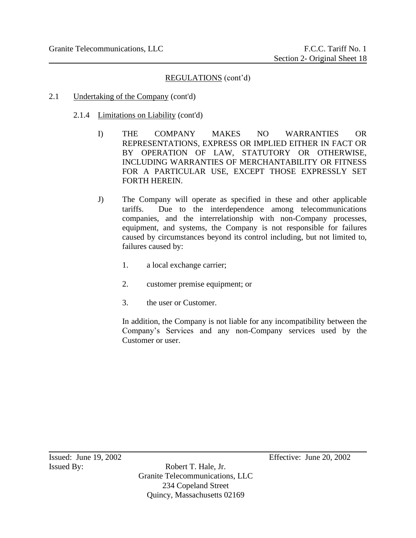- 2.1 Undertaking of the Company (cont'd)
	- 2.1.4 Limitations on Liability (cont'd)
		- I) THE COMPANY MAKES NO WARRANTIES OR REPRESENTATIONS, EXPRESS OR IMPLIED EITHER IN FACT OR BY OPERATION OF LAW, STATUTORY OR OTHERWISE, INCLUDING WARRANTIES OF MERCHANTABILITY OR FITNESS FOR A PARTICULAR USE, EXCEPT THOSE EXPRESSLY SET FORTH HEREIN.
		- J) The Company will operate as specified in these and other applicable tariffs. Due to the interdependence among telecommunications companies, and the interrelationship with non-Company processes, equipment, and systems, the Company is not responsible for failures caused by circumstances beyond its control including, but not limited to, failures caused by:
			- 1. a local exchange carrier;
			- 2. customer premise equipment; or
			- 3. the user or Customer.

In addition, the Company is not liable for any incompatibility between the Company's Services and any non-Company services used by the Customer or user.

Issued By: Robert T. Hale, Jr. Granite Telecommunications, LLC 234 Copeland Street Quincy, Massachusetts 02169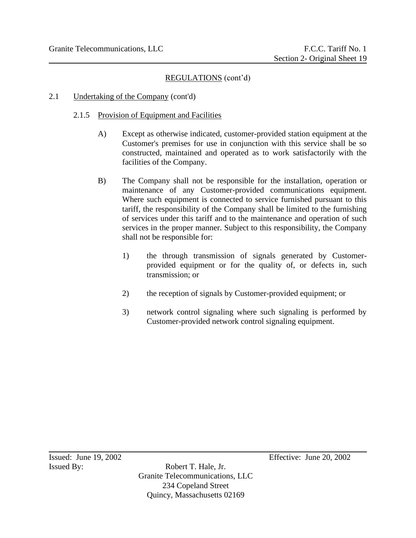## 2.1 Undertaking of the Company (cont'd)

## 2.1.5 Provision of Equipment and Facilities

- A) Except as otherwise indicated, customer-provided station equipment at the Customer's premises for use in conjunction with this service shall be so constructed, maintained and operated as to work satisfactorily with the facilities of the Company.
- B) The Company shall not be responsible for the installation, operation or maintenance of any Customer-provided communications equipment. Where such equipment is connected to service furnished pursuant to this tariff, the responsibility of the Company shall be limited to the furnishing of services under this tariff and to the maintenance and operation of such services in the proper manner. Subject to this responsibility, the Company shall not be responsible for:
	- 1) the through transmission of signals generated by Customerprovided equipment or for the quality of, or defects in, such transmission; or
	- 2) the reception of signals by Customer-provided equipment; or
	- 3) network control signaling where such signaling is performed by Customer-provided network control signaling equipment.

Issued By: Robert T. Hale, Jr. Granite Telecommunications, LLC 234 Copeland Street Quincy, Massachusetts 02169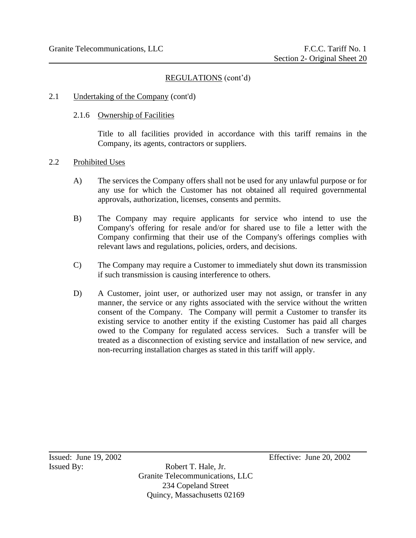#### 2.1 Undertaking of the Company (cont'd)

#### 2.1.6 Ownership of Facilities

Title to all facilities provided in accordance with this tariff remains in the Company, its agents, contractors or suppliers.

#### 2.2 Prohibited Uses

- A) The services the Company offers shall not be used for any unlawful purpose or for any use for which the Customer has not obtained all required governmental approvals, authorization, licenses, consents and permits.
- B) The Company may require applicants for service who intend to use the Company's offering for resale and/or for shared use to file a letter with the Company confirming that their use of the Company's offerings complies with relevant laws and regulations, policies, orders, and decisions.
- C) The Company may require a Customer to immediately shut down its transmission if such transmission is causing interference to others.
- D) A Customer, joint user, or authorized user may not assign, or transfer in any manner, the service or any rights associated with the service without the written consent of the Company. The Company will permit a Customer to transfer its existing service to another entity if the existing Customer has paid all charges owed to the Company for regulated access services. Such a transfer will be treated as a disconnection of existing service and installation of new service, and non-recurring installation charges as stated in this tariff will apply.

Issued By: Robert T. Hale, Jr. Granite Telecommunications, LLC 234 Copeland Street Quincy, Massachusetts 02169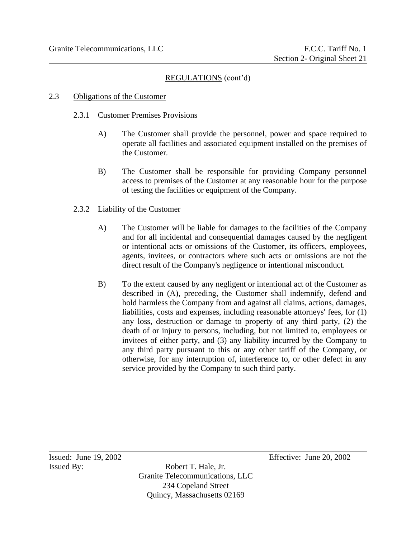#### 2.3 Obligations of the Customer

#### 2.3.1 Customer Premises Provisions

- A) The Customer shall provide the personnel, power and space required to operate all facilities and associated equipment installed on the premises of the Customer.
- B) The Customer shall be responsible for providing Company personnel access to premises of the Customer at any reasonable hour for the purpose of testing the facilities or equipment of the Company.

#### 2.3.2 Liability of the Customer

- A) The Customer will be liable for damages to the facilities of the Company and for all incidental and consequential damages caused by the negligent or intentional acts or omissions of the Customer, its officers, employees, agents, invitees, or contractors where such acts or omissions are not the direct result of the Company's negligence or intentional misconduct.
- B) To the extent caused by any negligent or intentional act of the Customer as described in (A), preceding, the Customer shall indemnify, defend and hold harmless the Company from and against all claims, actions, damages, liabilities, costs and expenses, including reasonable attorneys' fees, for (1) any loss, destruction or damage to property of any third party, (2) the death of or injury to persons, including, but not limited to, employees or invitees of either party, and (3) any liability incurred by the Company to any third party pursuant to this or any other tariff of the Company, or otherwise, for any interruption of, interference to, or other defect in any service provided by the Company to such third party.

Issued By: Robert T. Hale, Jr. Granite Telecommunications, LLC 234 Copeland Street Quincy, Massachusetts 02169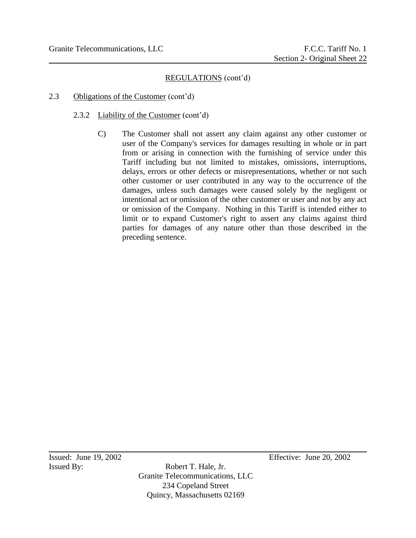#### 2.3 Obligations of the Customer (cont'd)

## 2.3.2 Liability of the Customer (cont'd)

C) The Customer shall not assert any claim against any other customer or user of the Company's services for damages resulting in whole or in part from or arising in connection with the furnishing of service under this Tariff including but not limited to mistakes, omissions, interruptions, delays, errors or other defects or misrepresentations, whether or not such other customer or user contributed in any way to the occurrence of the damages, unless such damages were caused solely by the negligent or intentional act or omission of the other customer or user and not by any act or omission of the Company. Nothing in this Tariff is intended either to limit or to expand Customer's right to assert any claims against third parties for damages of any nature other than those described in the preceding sentence.

Issued By: Robert T. Hale, Jr. Granite Telecommunications, LLC 234 Copeland Street Quincy, Massachusetts 02169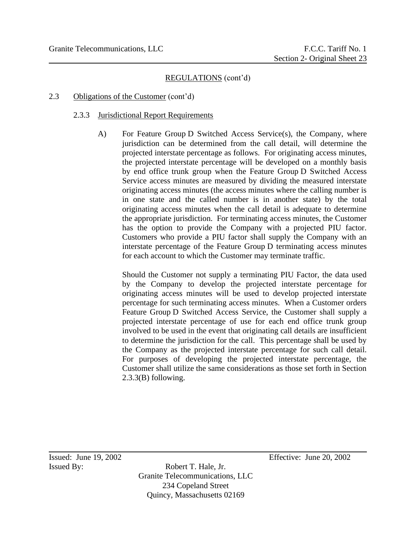## 2.3 Obligations of the Customer (cont'd)

#### 2.3.3 Jurisdictional Report Requirements

A) For Feature Group D Switched Access Service(s), the Company, where jurisdiction can be determined from the call detail, will determine the projected interstate percentage as follows. For originating access minutes, the projected interstate percentage will be developed on a monthly basis by end office trunk group when the Feature Group D Switched Access Service access minutes are measured by dividing the measured interstate originating access minutes (the access minutes where the calling number is in one state and the called number is in another state) by the total originating access minutes when the call detail is adequate to determine the appropriate jurisdiction. For terminating access minutes, the Customer has the option to provide the Company with a projected PIU factor. Customers who provide a PIU factor shall supply the Company with an interstate percentage of the Feature Group D terminating access minutes for each account to which the Customer may terminate traffic.

Should the Customer not supply a terminating PIU Factor, the data used by the Company to develop the projected interstate percentage for originating access minutes will be used to develop projected interstate percentage for such terminating access minutes. When a Customer orders Feature Group D Switched Access Service, the Customer shall supply a projected interstate percentage of use for each end office trunk group involved to be used in the event that originating call details are insufficient to determine the jurisdiction for the call. This percentage shall be used by the Company as the projected interstate percentage for such call detail. For purposes of developing the projected interstate percentage, the Customer shall utilize the same considerations as those set forth in Section 2.3.3(B) following.

Issued By: Robert T. Hale, Jr. Granite Telecommunications, LLC 234 Copeland Street Quincy, Massachusetts 02169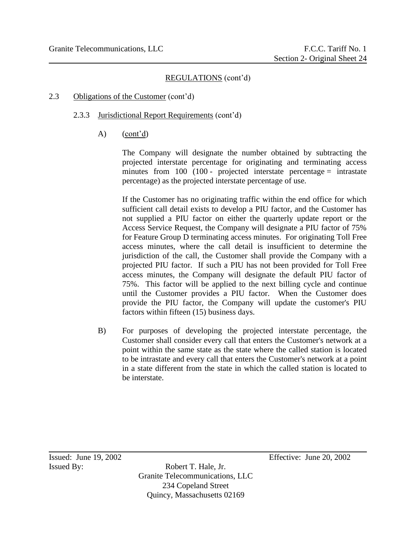## 2.3 Obligations of the Customer (cont'd)

## 2.3.3 Jurisdictional Report Requirements (cont'd)

A) (cont'd)

The Company will designate the number obtained by subtracting the projected interstate percentage for originating and terminating access minutes from  $100$  (100 - projected interstate percentage = intrastate percentage) as the projected interstate percentage of use.

If the Customer has no originating traffic within the end office for which sufficient call detail exists to develop a PIU factor, and the Customer has not supplied a PIU factor on either the quarterly update report or the Access Service Request, the Company will designate a PIU factor of 75% for Feature Group D terminating access minutes. For originating Toll Free access minutes, where the call detail is insufficient to determine the jurisdiction of the call, the Customer shall provide the Company with a projected PIU factor. If such a PIU has not been provided for Toll Free access minutes, the Company will designate the default PIU factor of 75%. This factor will be applied to the next billing cycle and continue until the Customer provides a PIU factor. When the Customer does provide the PIU factor, the Company will update the customer's PIU factors within fifteen (15) business days.

B) For purposes of developing the projected interstate percentage, the Customer shall consider every call that enters the Customer's network at a point within the same state as the state where the called station is located to be intrastate and every call that enters the Customer's network at a point in a state different from the state in which the called station is located to be interstate.

Issued By: Robert T. Hale, Jr. Granite Telecommunications, LLC 234 Copeland Street Quincy, Massachusetts 02169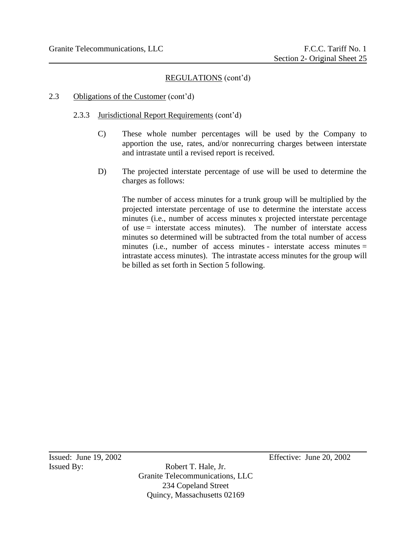#### 2.3 Obligations of the Customer (cont'd)

#### 2.3.3 Jurisdictional Report Requirements (cont'd)

- C) These whole number percentages will be used by the Company to apportion the use, rates, and/or nonrecurring charges between interstate and intrastate until a revised report is received.
- D) The projected interstate percentage of use will be used to determine the charges as follows:

The number of access minutes for a trunk group will be multiplied by the projected interstate percentage of use to determine the interstate access minutes (i.e., number of access minutes x projected interstate percentage of use = interstate access minutes). The number of interstate access minutes so determined will be subtracted from the total number of access minutes (i.e., number of access minutes - interstate access minutes = intrastate access minutes). The intrastate access minutes for the group will be billed as set forth in Section 5 following.

Issued By: Robert T. Hale, Jr. Granite Telecommunications, LLC 234 Copeland Street Quincy, Massachusetts 02169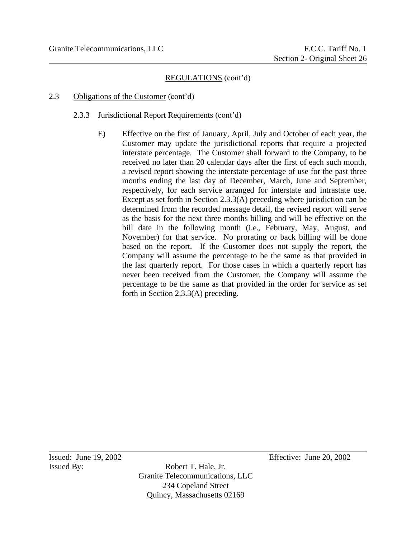## 2.3 Obligations of the Customer (cont'd)

#### 2.3.3 Jurisdictional Report Requirements (cont'd)

E) Effective on the first of January, April, July and October of each year, the Customer may update the jurisdictional reports that require a projected interstate percentage. The Customer shall forward to the Company, to be received no later than 20 calendar days after the first of each such month, a revised report showing the interstate percentage of use for the past three months ending the last day of December, March, June and September, respectively, for each service arranged for interstate and intrastate use. Except as set forth in Section 2.3.3(A) preceding where jurisdiction can be determined from the recorded message detail, the revised report will serve as the basis for the next three months billing and will be effective on the bill date in the following month (i.e., February, May, August, and November) for that service. No prorating or back billing will be done based on the report. If the Customer does not supply the report, the Company will assume the percentage to be the same as that provided in the last quarterly report. For those cases in which a quarterly report has never been received from the Customer, the Company will assume the percentage to be the same as that provided in the order for service as set forth in Section 2.3.3(A) preceding.

Issued By: Robert T. Hale, Jr. Granite Telecommunications, LLC 234 Copeland Street Quincy, Massachusetts 02169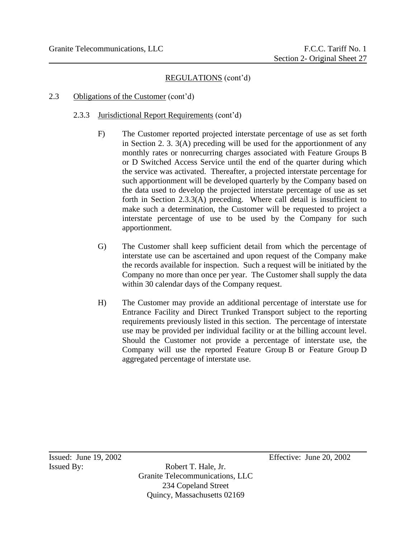## 2.3 Obligations of the Customer (cont'd)

#### 2.3.3 Jurisdictional Report Requirements (cont'd)

- F) The Customer reported projected interstate percentage of use as set forth in Section 2. 3. 3(A) preceding will be used for the apportionment of any monthly rates or nonrecurring charges associated with Feature Groups B or D Switched Access Service until the end of the quarter during which the service was activated. Thereafter, a projected interstate percentage for such apportionment will be developed quarterly by the Company based on the data used to develop the projected interstate percentage of use as set forth in Section 2.3.3(A) preceding. Where call detail is insufficient to make such a determination, the Customer will be requested to project a interstate percentage of use to be used by the Company for such apportionment.
- G) The Customer shall keep sufficient detail from which the percentage of interstate use can be ascertained and upon request of the Company make the records available for inspection. Such a request will be initiated by the Company no more than once per year. The Customer shall supply the data within 30 calendar days of the Company request.
- H) The Customer may provide an additional percentage of interstate use for Entrance Facility and Direct Trunked Transport subject to the reporting requirements previously listed in this section. The percentage of interstate use may be provided per individual facility or at the billing account level. Should the Customer not provide a percentage of interstate use, the Company will use the reported Feature Group B or Feature Group D aggregated percentage of interstate use.

Issued By: Robert T. Hale, Jr. Granite Telecommunications, LLC 234 Copeland Street Quincy, Massachusetts 02169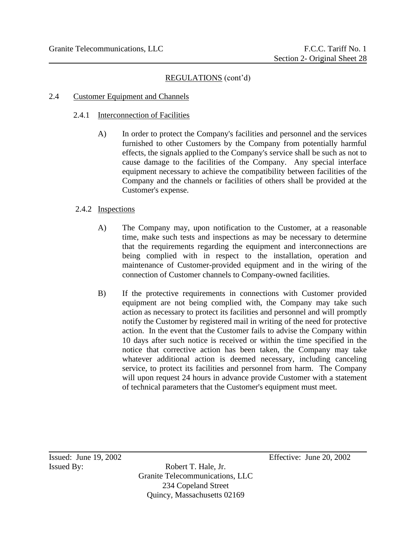#### 2.4 Customer Equipment and Channels

#### 2.4.1 Interconnection of Facilities

A) In order to protect the Company's facilities and personnel and the services furnished to other Customers by the Company from potentially harmful effects, the signals applied to the Company's service shall be such as not to cause damage to the facilities of the Company. Any special interface equipment necessary to achieve the compatibility between facilities of the Company and the channels or facilities of others shall be provided at the Customer's expense.

#### 2.4.2 Inspections

- A) The Company may, upon notification to the Customer, at a reasonable time, make such tests and inspections as may be necessary to determine that the requirements regarding the equipment and interconnections are being complied with in respect to the installation, operation and maintenance of Customer-provided equipment and in the wiring of the connection of Customer channels to Company-owned facilities.
- B) If the protective requirements in connections with Customer provided equipment are not being complied with, the Company may take such action as necessary to protect its facilities and personnel and will promptly notify the Customer by registered mail in writing of the need for protective action. In the event that the Customer fails to advise the Company within 10 days after such notice is received or within the time specified in the notice that corrective action has been taken, the Company may take whatever additional action is deemed necessary, including canceling service, to protect its facilities and personnel from harm. The Company will upon request 24 hours in advance provide Customer with a statement of technical parameters that the Customer's equipment must meet.

Issued By: Robert T. Hale, Jr. Granite Telecommunications, LLC 234 Copeland Street Quincy, Massachusetts 02169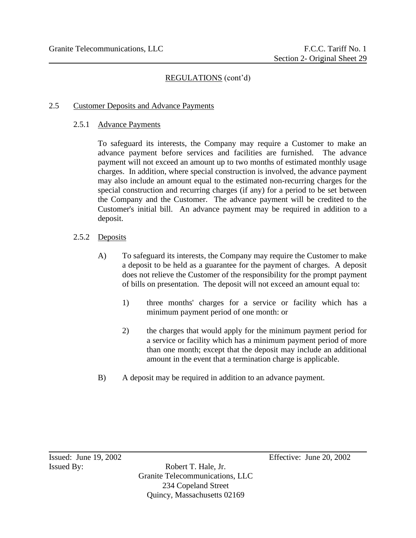#### 2.5 Customer Deposits and Advance Payments

#### 2.5.1 Advance Payments

To safeguard its interests, the Company may require a Customer to make an advance payment before services and facilities are furnished. The advance payment will not exceed an amount up to two months of estimated monthly usage charges. In addition, where special construction is involved, the advance payment may also include an amount equal to the estimated non-recurring charges for the special construction and recurring charges (if any) for a period to be set between the Company and the Customer. The advance payment will be credited to the Customer's initial bill. An advance payment may be required in addition to a deposit.

#### 2.5.2 Deposits

- A) To safeguard its interests, the Company may require the Customer to make a deposit to be held as a guarantee for the payment of charges. A deposit does not relieve the Customer of the responsibility for the prompt payment of bills on presentation. The deposit will not exceed an amount equal to:
	- 1) three months' charges for a service or facility which has a minimum payment period of one month: or
	- 2) the charges that would apply for the minimum payment period for a service or facility which has a minimum payment period of more than one month; except that the deposit may include an additional amount in the event that a termination charge is applicable.
- B) A deposit may be required in addition to an advance payment.

Issued By: Robert T. Hale, Jr. Granite Telecommunications, LLC 234 Copeland Street Quincy, Massachusetts 02169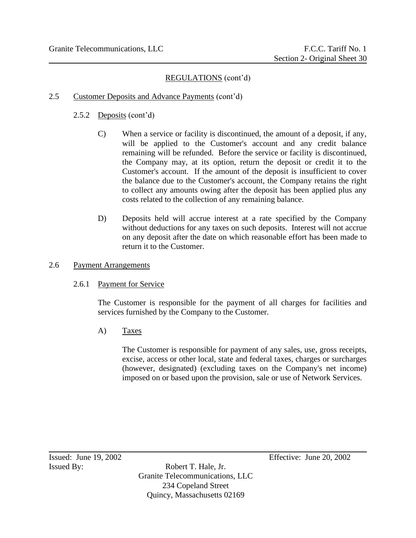- 2.5 Customer Deposits and Advance Payments (cont'd)
	- 2.5.2 Deposits (cont'd)
		- C) When a service or facility is discontinued, the amount of a deposit, if any, will be applied to the Customer's account and any credit balance remaining will be refunded. Before the service or facility is discontinued, the Company may, at its option, return the deposit or credit it to the Customer's account. If the amount of the deposit is insufficient to cover the balance due to the Customer's account, the Company retains the right to collect any amounts owing after the deposit has been applied plus any costs related to the collection of any remaining balance.
		- D) Deposits held will accrue interest at a rate specified by the Company without deductions for any taxes on such deposits. Interest will not accrue on any deposit after the date on which reasonable effort has been made to return it to the Customer.

#### 2.6 Payment Arrangements

#### 2.6.1 Payment for Service

The Customer is responsible for the payment of all charges for facilities and services furnished by the Company to the Customer.

A) Taxes

The Customer is responsible for payment of any sales, use, gross receipts, excise, access or other local, state and federal taxes, charges or surcharges (however, designated) (excluding taxes on the Company's net income) imposed on or based upon the provision, sale or use of Network Services.

Issued By: Robert T. Hale, Jr. Granite Telecommunications, LLC 234 Copeland Street Quincy, Massachusetts 02169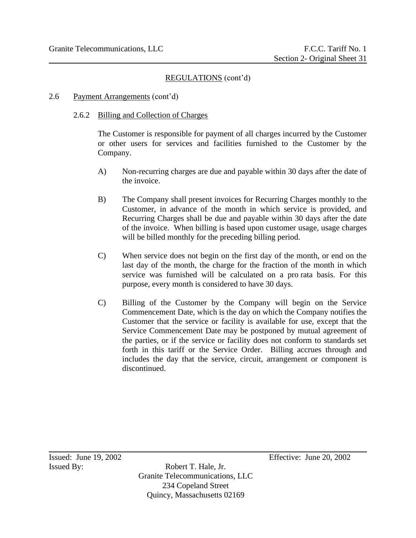#### 2.6 Payment Arrangements (cont'd)

#### 2.6.2 Billing and Collection of Charges

The Customer is responsible for payment of all charges incurred by the Customer or other users for services and facilities furnished to the Customer by the Company.

- A) Non-recurring charges are due and payable within 30 days after the date of the invoice.
- B) The Company shall present invoices for Recurring Charges monthly to the Customer, in advance of the month in which service is provided, and Recurring Charges shall be due and payable within 30 days after the date of the invoice. When billing is based upon customer usage, usage charges will be billed monthly for the preceding billing period.
- C) When service does not begin on the first day of the month, or end on the last day of the month, the charge for the fraction of the month in which service was furnished will be calculated on a pro rata basis. For this purpose, every month is considered to have 30 days.
- C) Billing of the Customer by the Company will begin on the Service Commencement Date, which is the day on which the Company notifies the Customer that the service or facility is available for use, except that the Service Commencement Date may be postponed by mutual agreement of the parties, or if the service or facility does not conform to standards set forth in this tariff or the Service Order. Billing accrues through and includes the day that the service, circuit, arrangement or component is discontinued.

Issued By: Robert T. Hale, Jr. Granite Telecommunications, LLC 234 Copeland Street Quincy, Massachusetts 02169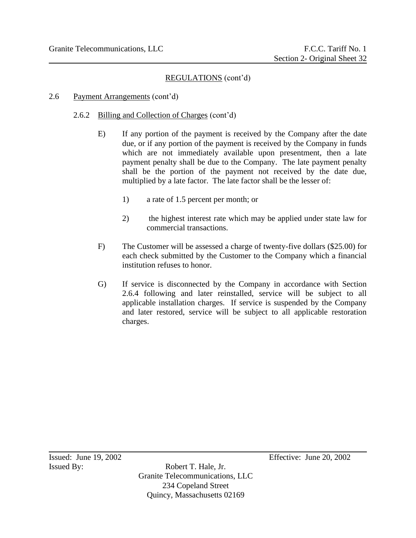## 2.6 Payment Arrangements (cont'd)

## 2.6.2 Billing and Collection of Charges (cont'd)

- E) If any portion of the payment is received by the Company after the date due, or if any portion of the payment is received by the Company in funds which are not immediately available upon presentment, then a late payment penalty shall be due to the Company. The late payment penalty shall be the portion of the payment not received by the date due, multiplied by a late factor. The late factor shall be the lesser of:
	- 1) a rate of 1.5 percent per month; or
	- 2) the highest interest rate which may be applied under state law for commercial transactions.
- F) The Customer will be assessed a charge of twenty-five dollars (\$25.00) for each check submitted by the Customer to the Company which a financial institution refuses to honor.
- G) If service is disconnected by the Company in accordance with Section 2.6.4 following and later reinstalled, service will be subject to all applicable installation charges. If service is suspended by the Company and later restored, service will be subject to all applicable restoration charges.

Issued By: Robert T. Hale, Jr. Granite Telecommunications, LLC 234 Copeland Street Quincy, Massachusetts 02169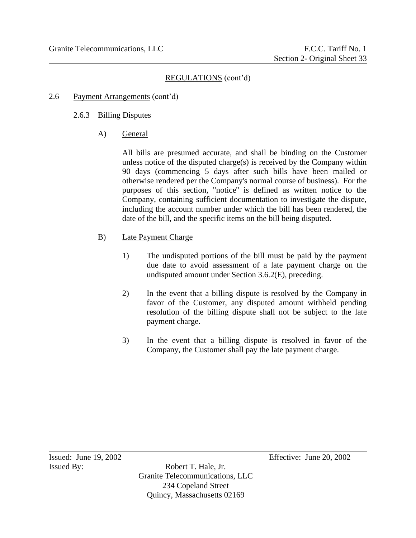- 2.6 Payment Arrangements (cont'd)
	- 2.6.3 Billing Disputes
		- A) General

All bills are presumed accurate, and shall be binding on the Customer unless notice of the disputed charge $(s)$  is received by the Company within 90 days (commencing 5 days after such bills have been mailed or otherwise rendered per the Company's normal course of business). For the purposes of this section, "notice'' is defined as written notice to the Company, containing sufficient documentation to investigate the dispute, including the account number under which the bill has been rendered, the date of the bill, and the specific items on the bill being disputed.

- B) Late Payment Charge
	- 1) The undisputed portions of the bill must be paid by the payment due date to avoid assessment of a late payment charge on the undisputed amount under Section 3.6.2(E), preceding.
	- 2) In the event that a billing dispute is resolved by the Company in favor of the Customer, any disputed amount withheld pending resolution of the billing dispute shall not be subject to the late payment charge.
	- 3) In the event that a billing dispute is resolved in favor of the Company, the Customer shall pay the late payment charge.

Issued By: Robert T. Hale, Jr. Granite Telecommunications, LLC 234 Copeland Street Quincy, Massachusetts 02169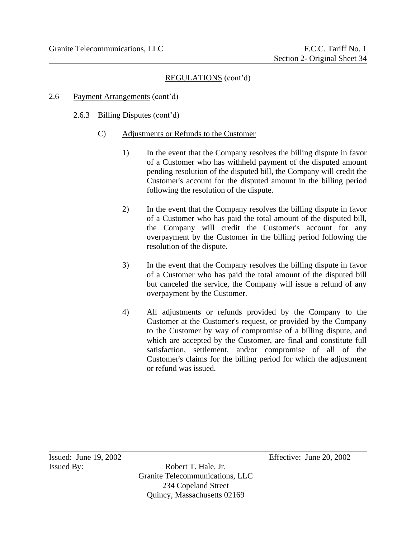## 2.6 Payment Arrangements (cont'd)

## 2.6.3 Billing Disputes (cont'd)

- C) Adjustments or Refunds to the Customer
	- 1) In the event that the Company resolves the billing dispute in favor of a Customer who has withheld payment of the disputed amount pending resolution of the disputed bill, the Company will credit the Customer's account for the disputed amount in the billing period following the resolution of the dispute.
	- 2) In the event that the Company resolves the billing dispute in favor of a Customer who has paid the total amount of the disputed bill, the Company will credit the Customer's account for any overpayment by the Customer in the billing period following the resolution of the dispute.
	- 3) In the event that the Company resolves the billing dispute in favor of a Customer who has paid the total amount of the disputed bill but canceled the service, the Company will issue a refund of any overpayment by the Customer.
	- 4) All adjustments or refunds provided by the Company to the Customer at the Customer's request, or provided by the Company to the Customer by way of compromise of a billing dispute, and which are accepted by the Customer, are final and constitute full satisfaction, settlement, and/or compromise of all of the Customer's claims for the billing period for which the adjustment or refund was issued.

Issued By: Robert T. Hale, Jr. Granite Telecommunications, LLC 234 Copeland Street Quincy, Massachusetts 02169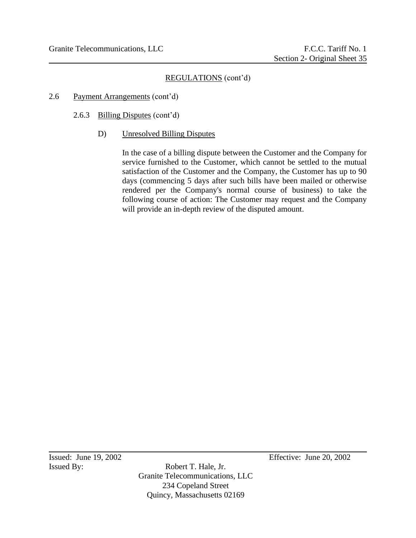#### 2.6 Payment Arrangements (cont'd)

- 2.6.3 Billing Disputes (cont'd)
	- D) Unresolved Billing Disputes

In the case of a billing dispute between the Customer and the Company for service furnished to the Customer, which cannot be settled to the mutual satisfaction of the Customer and the Company, the Customer has up to 90 days (commencing 5 days after such bills have been mailed or otherwise rendered per the Company's normal course of business) to take the following course of action: The Customer may request and the Company will provide an in-depth review of the disputed amount.

Issued By: Robert T. Hale, Jr. Granite Telecommunications, LLC 234 Copeland Street Quincy, Massachusetts 02169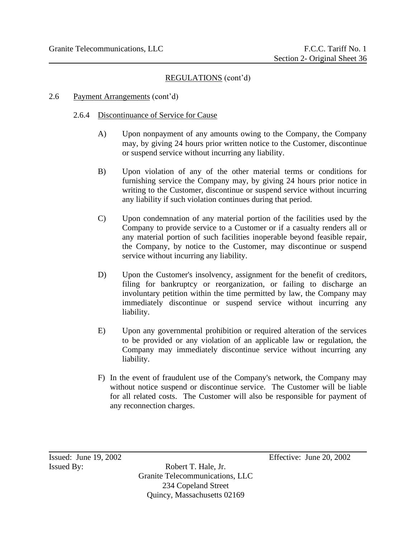#### 2.6 Payment Arrangements (cont'd)

#### 2.6.4 Discontinuance of Service for Cause

- A) Upon nonpayment of any amounts owing to the Company, the Company may, by giving 24 hours prior written notice to the Customer, discontinue or suspend service without incurring any liability.
- B) Upon violation of any of the other material terms or conditions for furnishing service the Company may, by giving 24 hours prior notice in writing to the Customer, discontinue or suspend service without incurring any liability if such violation continues during that period.
- C) Upon condemnation of any material portion of the facilities used by the Company to provide service to a Customer or if a casualty renders all or any material portion of such facilities inoperable beyond feasible repair, the Company, by notice to the Customer, may discontinue or suspend service without incurring any liability.
- D) Upon the Customer's insolvency, assignment for the benefit of creditors, filing for bankruptcy or reorganization, or failing to discharge an involuntary petition within the time permitted by law, the Company may immediately discontinue or suspend service without incurring any liability.
- E) Upon any governmental prohibition or required alteration of the services to be provided or any violation of an applicable law or regulation, the Company may immediately discontinue service without incurring any liability.
- F) In the event of fraudulent use of the Company's network, the Company may without notice suspend or discontinue service. The Customer will be liable for all related costs. The Customer will also be responsible for payment of any reconnection charges.

Issued By: Robert T. Hale, Jr. Granite Telecommunications, LLC 234 Copeland Street Quincy, Massachusetts 02169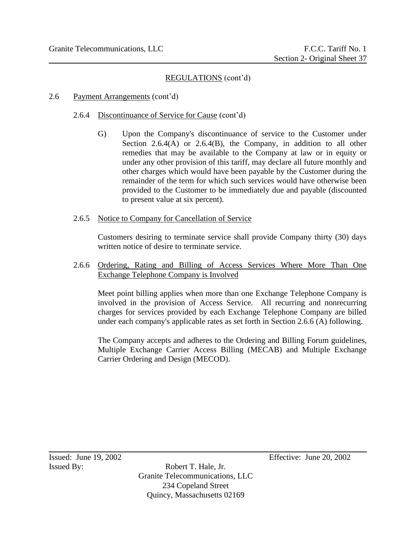### 2.6 Payment Arrangements (cont'd)

#### 2.6.4 Discontinuance of Service for Cause (cont'd)

G) Upon the Company's discontinuance of service to the Customer under Section 2.6.4(A) or 2.6.4(B), the Company, in addition to all other remedies that may be available to the Company at law or in equity or under any other provision of this tariff, may declare all future monthly and other charges which would have been payable by the Customer during the remainder of the term for which such services would have otherwise been provided to the Customer to be immediately due and payable (discounted to present value at six percent).

### 2.6.5 Notice to Company for Cancellation of Service

Customers desiring to terminate service shall provide Company thirty (30) days written notice of desire to terminate service.

2.6.6 Ordering, Rating and Billing of Access Services Where More Than One Exchange Telephone Company is Involved

Meet point billing applies when more than one Exchange Telephone Company is involved in the provision of Access Service. All recurring and nonrecurring charges for services provided by each Exchange Telephone Company are billed under each company's applicable rates as set forth in Section 2.6.6 (A) following.

The Company accepts and adheres to the Ordering and Billing Forum guidelines, Multiple Exchange Carrier Access Billing (MECAB) and Multiple Exchange Carrier Ordering and Design (MECOD).

Issued By: Robert T. Hale, Jr. Granite Telecommunications, LLC 234 Copeland Street Quincy, Massachusetts 02169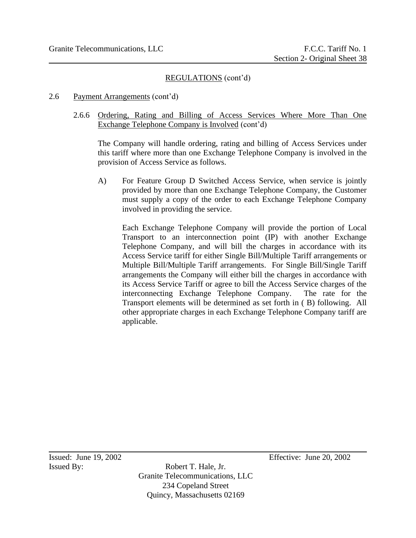#### 2.6 Payment Arrangements (cont'd)

2.6.6 Ordering, Rating and Billing of Access Services Where More Than One Exchange Telephone Company is Involved (cont'd)

The Company will handle ordering, rating and billing of Access Services under this tariff where more than one Exchange Telephone Company is involved in the provision of Access Service as follows.

A) For Feature Group D Switched Access Service, when service is jointly provided by more than one Exchange Telephone Company, the Customer must supply a copy of the order to each Exchange Telephone Company involved in providing the service.

Each Exchange Telephone Company will provide the portion of Local Transport to an interconnection point (IP) with another Exchange Telephone Company, and will bill the charges in accordance with its Access Service tariff for either Single Bill/Multiple Tariff arrangements or Multiple Bill/Multiple Tariff arrangements. For Single Bill/Single Tariff arrangements the Company will either bill the charges in accordance with its Access Service Tariff or agree to bill the Access Service charges of the interconnecting Exchange Telephone Company. The rate for the Transport elements will be determined as set forth in ( B) following. All other appropriate charges in each Exchange Telephone Company tariff are applicable.

Issued By: Robert T. Hale, Jr. Granite Telecommunications, LLC 234 Copeland Street Quincy, Massachusetts 02169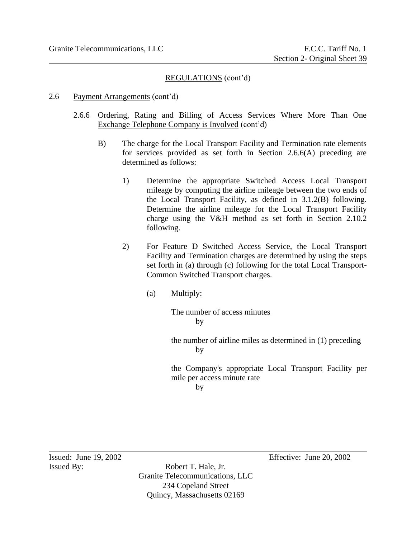#### 2.6 Payment Arrangements (cont'd)

- 2.6.6 Ordering, Rating and Billing of Access Services Where More Than One Exchange Telephone Company is Involved (cont'd)
	- B) The charge for the Local Transport Facility and Termination rate elements for services provided as set forth in Section 2.6.6(A) preceding are determined as follows:
		- 1) Determine the appropriate Switched Access Local Transport mileage by computing the airline mileage between the two ends of the Local Transport Facility, as defined in 3.1.2(B) following. Determine the airline mileage for the Local Transport Facility charge using the V&H method as set forth in Section 2.10.2 following.
		- 2) For Feature D Switched Access Service, the Local Transport Facility and Termination charges are determined by using the steps set forth in (a) through (c) following for the total Local Transport-Common Switched Transport charges.
			- (a) Multiply:

The number of access minutes by

the number of airline miles as determined in (1) preceding by

the Company's appropriate Local Transport Facility per mile per access minute rate by

Issued By: Robert T. Hale, Jr. Granite Telecommunications, LLC 234 Copeland Street Quincy, Massachusetts 02169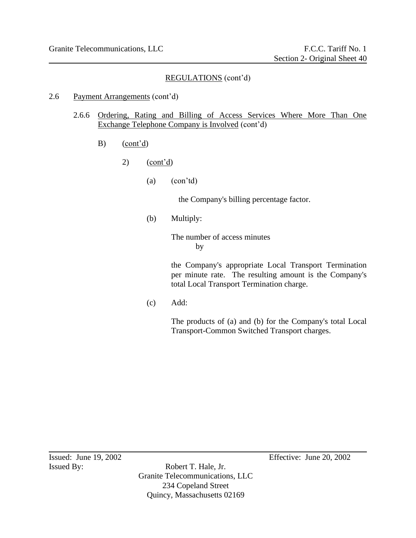#### 2.6 Payment Arrangements (cont'd)

- 2.6.6 Ordering, Rating and Billing of Access Services Where More Than One Exchange Telephone Company is Involved (cont'd)
	- B) (cont'd)
		- 2) (cont'd)
			- (a) (con'td)

the Company's billing percentage factor.

(b) Multiply:

The number of access minutes by

the Company's appropriate Local Transport Termination per minute rate. The resulting amount is the Company's total Local Transport Termination charge.

(c) Add:

The products of (a) and (b) for the Company's total Local Transport-Common Switched Transport charges.

Issued By: Robert T. Hale, Jr. Granite Telecommunications, LLC 234 Copeland Street Quincy, Massachusetts 02169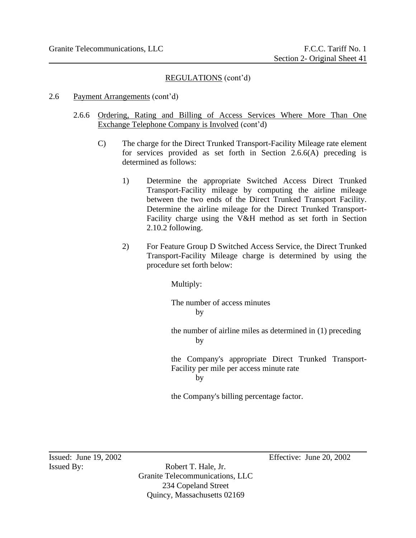#### 2.6 Payment Arrangements (cont'd)

- 2.6.6 Ordering, Rating and Billing of Access Services Where More Than One Exchange Telephone Company is Involved (cont'd)
	- C) The charge for the Direct Trunked Transport-Facility Mileage rate element for services provided as set forth in Section 2.6.6(A) preceding is determined as follows:
		- 1) Determine the appropriate Switched Access Direct Trunked Transport-Facility mileage by computing the airline mileage between the two ends of the Direct Trunked Transport Facility. Determine the airline mileage for the Direct Trunked Transport-Facility charge using the V&H method as set forth in Section 2.10.2 following.
		- 2) For Feature Group D Switched Access Service, the Direct Trunked Transport-Facility Mileage charge is determined by using the procedure set forth below:

Multiply:

The number of access minutes by

the number of airline miles as determined in (1) preceding by

the Company's appropriate Direct Trunked Transport-Facility per mile per access minute rate by

the Company's billing percentage factor.

Issued By: Robert T. Hale, Jr. Granite Telecommunications, LLC 234 Copeland Street Quincy, Massachusetts 02169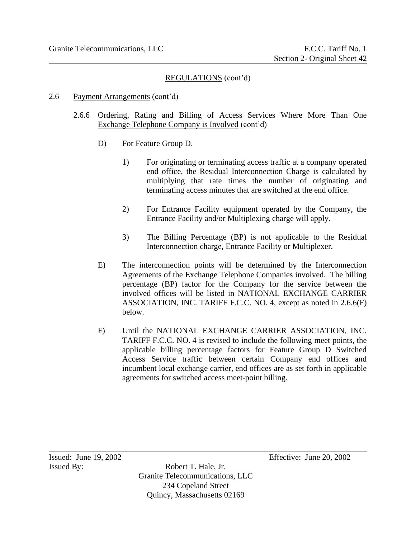### 2.6 Payment Arrangements (cont'd)

- 2.6.6 Ordering, Rating and Billing of Access Services Where More Than One Exchange Telephone Company is Involved (cont'd)
	- D) For Feature Group D.
		- 1) For originating or terminating access traffic at a company operated end office, the Residual Interconnection Charge is calculated by multiplying that rate times the number of originating and terminating access minutes that are switched at the end office.
		- 2) For Entrance Facility equipment operated by the Company, the Entrance Facility and/or Multiplexing charge will apply.
		- 3) The Billing Percentage (BP) is not applicable to the Residual Interconnection charge, Entrance Facility or Multiplexer.
	- E) The interconnection points will be determined by the Interconnection Agreements of the Exchange Telephone Companies involved. The billing percentage (BP) factor for the Company for the service between the involved offices will be listed in NATIONAL EXCHANGE CARRIER ASSOCIATION, INC. TARIFF F.C.C. NO. 4, except as noted in 2.6.6(F) below.
	- F) Until the NATIONAL EXCHANGE CARRIER ASSOCIATION, INC. TARIFF F.C.C. NO. 4 is revised to include the following meet points, the applicable billing percentage factors for Feature Group D Switched Access Service traffic between certain Company end offices and incumbent local exchange carrier, end offices are as set forth in applicable agreements for switched access meet-point billing.

Issued By: Robert T. Hale, Jr. Granite Telecommunications, LLC 234 Copeland Street Quincy, Massachusetts 02169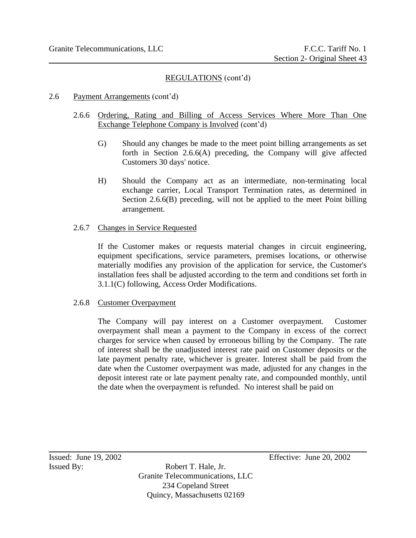### 2.6 Payment Arrangements (cont'd)

- 2.6.6 Ordering, Rating and Billing of Access Services Where More Than One Exchange Telephone Company is Involved (cont'd)
	- G) Should any changes be made to the meet point billing arrangements as set forth in Section 2.6.6(A) preceding, the Company will give affected Customers 30 days' notice.
	- H) Should the Company act as an intermediate, non-terminating local exchange carrier, Local Transport Termination rates, as determined in Section 2.6.6(B) preceding, will not be applied to the meet Point billing arrangement.

### 2.6.7 Changes in Service Requested

If the Customer makes or requests material changes in circuit engineering, equipment specifications, service parameters, premises locations, or otherwise materially modifies any provision of the application for service, the Customer's installation fees shall be adjusted according to the term and conditions set forth in 3.1.1(C) following, Access Order Modifications.

# 2.6.8 Customer Overpayment

The Company will pay interest on a Customer overpayment. Customer overpayment shall mean a payment to the Company in excess of the correct charges for service when caused by erroneous billing by the Company. The rate of interest shall be the unadjusted interest rate paid on Customer deposits or the late payment penalty rate, whichever is greater. Interest shall be paid from the date when the Customer overpayment was made, adjusted for any changes in the deposit interest rate or late payment penalty rate, and compounded monthly, until the date when the overpayment is refunded. No interest shall be paid on

Issued By: Robert T. Hale, Jr. Granite Telecommunications, LLC 234 Copeland Street Quincy, Massachusetts 02169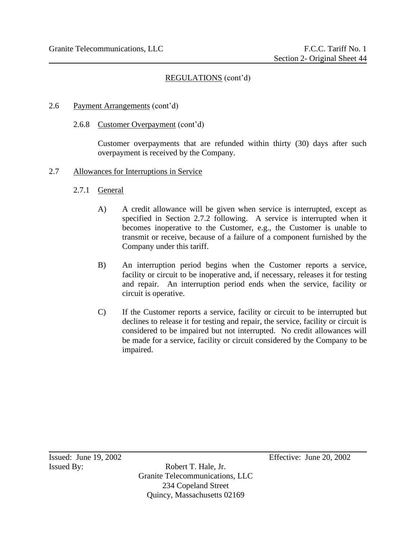### 2.6 Payment Arrangements (cont'd)

2.6.8 Customer Overpayment (cont'd)

Customer overpayments that are refunded within thirty (30) days after such overpayment is received by the Company.

#### 2.7 Allowances for Interruptions in Service

- 2.7.1 General
	- A) A credit allowance will be given when service is interrupted, except as specified in Section 2.7.2 following. A service is interrupted when it becomes inoperative to the Customer, e.g., the Customer is unable to transmit or receive, because of a failure of a component furnished by the Company under this tariff.
	- B) An interruption period begins when the Customer reports a service, facility or circuit to be inoperative and, if necessary, releases it for testing and repair. An interruption period ends when the service, facility or circuit is operative.
	- C) If the Customer reports a service, facility or circuit to be interrupted but declines to release it for testing and repair, the service, facility or circuit is considered to be impaired but not interrupted. No credit allowances will be made for a service, facility or circuit considered by the Company to be impaired.

Issued By: Robert T. Hale, Jr. Granite Telecommunications, LLC 234 Copeland Street Quincy, Massachusetts 02169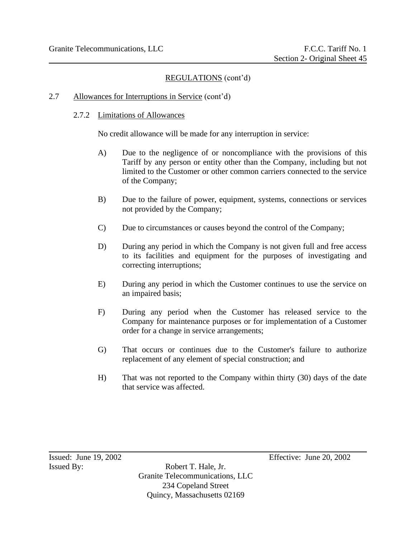# 2.7 Allowances for Interruptions in Service (cont'd)

### 2.7.2 Limitations of Allowances

No credit allowance will be made for any interruption in service:

- A) Due to the negligence of or noncompliance with the provisions of this Tariff by any person or entity other than the Company, including but not limited to the Customer or other common carriers connected to the service of the Company;
- B) Due to the failure of power, equipment, systems, connections or services not provided by the Company;
- C) Due to circumstances or causes beyond the control of the Company;
- D) During any period in which the Company is not given full and free access to its facilities and equipment for the purposes of investigating and correcting interruptions;
- E) During any period in which the Customer continues to use the service on an impaired basis;
- F) During any period when the Customer has released service to the Company for maintenance purposes or for implementation of a Customer order for a change in service arrangements;
- G) That occurs or continues due to the Customer's failure to authorize replacement of any element of special construction; and
- H) That was not reported to the Company within thirty (30) days of the date that service was affected.

Issued By: Robert T. Hale, Jr. Granite Telecommunications, LLC 234 Copeland Street Quincy, Massachusetts 02169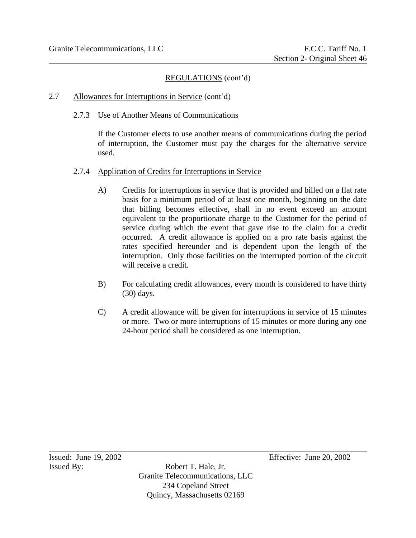# 2.7 Allowances for Interruptions in Service (cont'd)

2.7.3 Use of Another Means of Communications

If the Customer elects to use another means of communications during the period of interruption, the Customer must pay the charges for the alternative service used.

- 2.7.4 Application of Credits for Interruptions in Service
	- A) Credits for interruptions in service that is provided and billed on a flat rate basis for a minimum period of at least one month, beginning on the date that billing becomes effective, shall in no event exceed an amount equivalent to the proportionate charge to the Customer for the period of service during which the event that gave rise to the claim for a credit occurred. A credit allowance is applied on a pro rate basis against the rates specified hereunder and is dependent upon the length of the interruption. Only those facilities on the interrupted portion of the circuit will receive a credit.
	- B) For calculating credit allowances, every month is considered to have thirty (30) days.
	- C) A credit allowance will be given for interruptions in service of 15 minutes or more. Two or more interruptions of 15 minutes or more during any one 24-hour period shall be considered as one interruption.

Issued By: Robert T. Hale, Jr. Granite Telecommunications, LLC 234 Copeland Street Quincy, Massachusetts 02169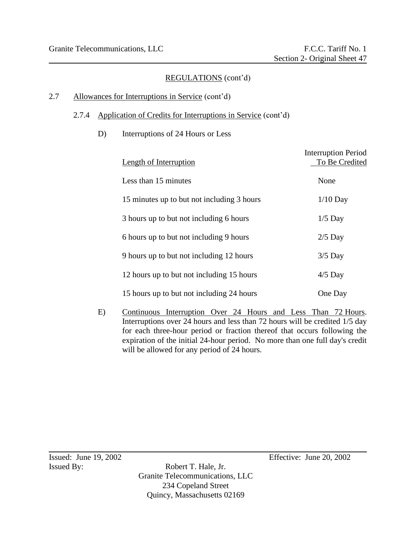# 2.7 Allowances for Interruptions in Service (cont'd)

### 2.7.4 Application of Credits for Interruptions in Service (cont'd)

D) Interruptions of 24 Hours or Less

| <b>Length of Interruption</b>              | <b>Interruption Period</b><br>To Be Credited |
|--------------------------------------------|----------------------------------------------|
| Less than 15 minutes                       | None                                         |
| 15 minutes up to but not including 3 hours | $1/10$ Day                                   |
| 3 hours up to but not including 6 hours    | $1/5$ Day                                    |
| 6 hours up to but not including 9 hours    | $2/5$ Day                                    |
| 9 hours up to but not including 12 hours   | $3/5$ Day                                    |
| 12 hours up to but not including 15 hours  | $4/5$ Day                                    |
| 15 hours up to but not including 24 hours  | One Day                                      |

E) Continuous Interruption Over 24 Hours and Less Than 72 Hours. Interruptions over 24 hours and less than 72 hours will be credited 1/5 day for each three-hour period or fraction thereof that occurs following the expiration of the initial 24-hour period. No more than one full day's credit will be allowed for any period of 24 hours.

Issued By: Robert T. Hale, Jr. Granite Telecommunications, LLC 234 Copeland Street Quincy, Massachusetts 02169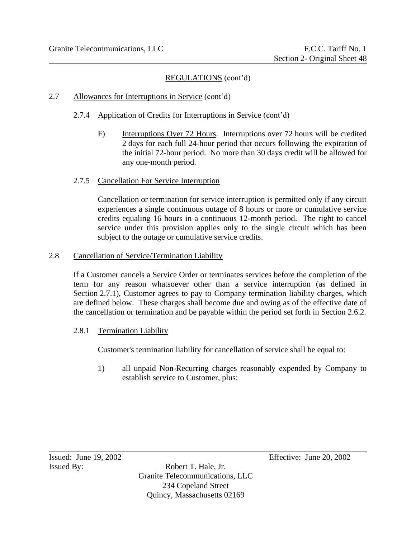# 2.7 Allowances for Interruptions in Service (cont'd)

- 2.7.4 Application of Credits for Interruptions in Service (cont'd)
	- F) Interruptions Over 72 Hours. Interruptions over 72 hours will be credited 2 days for each full 24-hour period that occurs following the expiration of the initial 72-hour period. No more than 30 days credit will be allowed for any one-month period.

# 2.7.5 Cancellation For Service Interruption

Cancellation or termination for service interruption is permitted only if any circuit experiences a single continuous outage of 8 hours or more or cumulative service credits equaling 16 hours in a continuous 12-month period. The right to cancel service under this provision applies only to the single circuit which has been subject to the outage or cumulative service credits.

# 2.8 Cancellation of Service/Termination Liability

If a Customer cancels a Service Order or terminates services before the completion of the term for any reason whatsoever other than a service interruption (as defined in Section 2.7.1), Customer agrees to pay to Company termination liability charges, which are defined below. These charges shall become due and owing as of the effective date of the cancellation or termination and be payable within the period set forth in Section 2.6.2.

# 2.8.1 Termination Liability

Customer's termination liability for cancellation of service shall be equal to:

1) all unpaid Non-Recurring charges reasonably expended by Company to establish service to Customer, plus;

Issued By: Robert T. Hale, Jr. Granite Telecommunications, LLC 234 Copeland Street Quincy, Massachusetts 02169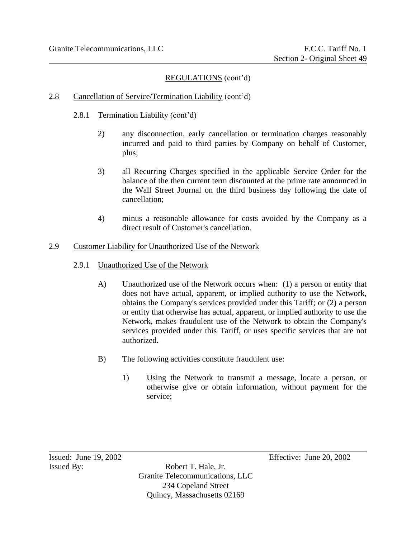# 2.8 Cancellation of Service/Termination Liability (cont'd)

- 2.8.1 Termination Liability (cont'd)
	- 2) any disconnection, early cancellation or termination charges reasonably incurred and paid to third parties by Company on behalf of Customer, plus;
	- 3) all Recurring Charges specified in the applicable Service Order for the balance of the then current term discounted at the prime rate announced in the Wall Street Journal on the third business day following the date of cancellation;
	- 4) minus a reasonable allowance for costs avoided by the Company as a direct result of Customer's cancellation.

### 2.9 Customer Liability for Unauthorized Use of the Network

- 2.9.1 Unauthorized Use of the Network
	- A) Unauthorized use of the Network occurs when: (1) a person or entity that does not have actual, apparent, or implied authority to use the Network, obtains the Company's services provided under this Tariff; or (2) a person or entity that otherwise has actual, apparent, or implied authority to use the Network, makes fraudulent use of the Network to obtain the Company's services provided under this Tariff, or uses specific services that are not authorized.
	- B) The following activities constitute fraudulent use:
		- 1) Using the Network to transmit a message, locate a person, or otherwise give or obtain information, without payment for the service;

Issued By: Robert T. Hale, Jr. Granite Telecommunications, LLC 234 Copeland Street Quincy, Massachusetts 02169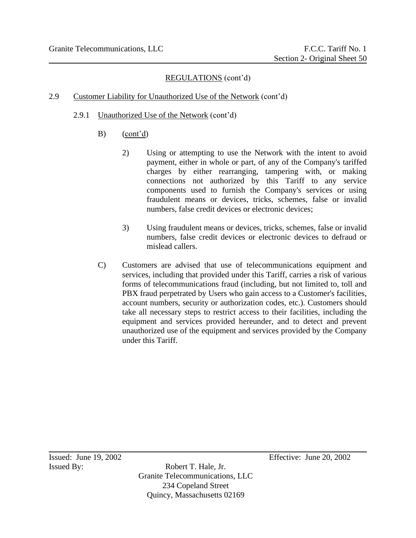# 2.9 Customer Liability for Unauthorized Use of the Network (cont'd)

- 2.9.1 Unauthorized Use of the Network (cont'd)
	- B) (cont'd)
		- 2) Using or attempting to use the Network with the intent to avoid payment, either in whole or part, of any of the Company's tariffed charges by either rearranging, tampering with, or making connections not authorized by this Tariff to any service components used to furnish the Company's services or using fraudulent means or devices, tricks, schemes, false or invalid numbers, false credit devices or electronic devices;
		- 3) Using fraudulent means or devices, tricks, schemes, false or invalid numbers, false credit devices or electronic devices to defraud or mislead callers.
	- C) Customers are advised that use of telecommunications equipment and services, including that provided under this Tariff, carries a risk of various forms of telecommunications fraud (including, but not limited to, toll and PBX fraud perpetrated by Users who gain access to a Customer's facilities, account numbers, security or authorization codes, etc.). Customers should take all necessary steps to restrict access to their facilities, including the equipment and services provided hereunder, and to detect and prevent unauthorized use of the equipment and services provided by the Company under this Tariff.

Issued By: Robert T. Hale, Jr. Granite Telecommunications, LLC 234 Copeland Street Quincy, Massachusetts 02169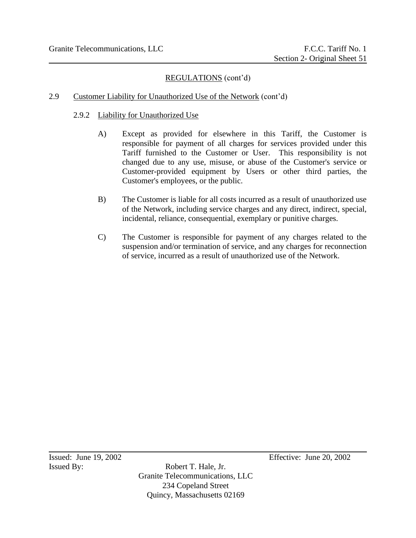### 2.9 Customer Liability for Unauthorized Use of the Network (cont'd)

#### 2.9.2 Liability for Unauthorized Use

- A) Except as provided for elsewhere in this Tariff, the Customer is responsible for payment of all charges for services provided under this Tariff furnished to the Customer or User. This responsibility is not changed due to any use, misuse, or abuse of the Customer's service or Customer-provided equipment by Users or other third parties, the Customer's employees, or the public.
- B) The Customer is liable for all costs incurred as a result of unauthorized use of the Network, including service charges and any direct, indirect, special, incidental, reliance, consequential, exemplary or punitive charges.
- C) The Customer is responsible for payment of any charges related to the suspension and/or termination of service, and any charges for reconnection of service, incurred as a result of unauthorized use of the Network.

Issued By: Robert T. Hale, Jr. Granite Telecommunications, LLC 234 Copeland Street Quincy, Massachusetts 02169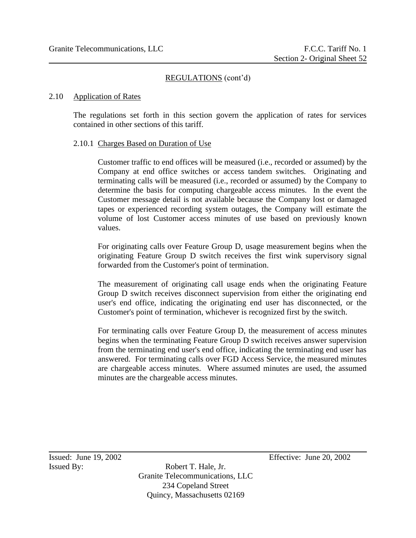#### 2.10 Application of Rates

The regulations set forth in this section govern the application of rates for services contained in other sections of this tariff.

### 2.10.1 Charges Based on Duration of Use

Customer traffic to end offices will be measured (i.e., recorded or assumed) by the Company at end office switches or access tandem switches. Originating and terminating calls will be measured (i.e., recorded or assumed) by the Company to determine the basis for computing chargeable access minutes. In the event the Customer message detail is not available because the Company lost or damaged tapes or experienced recording system outages, the Company will estimate the volume of lost Customer access minutes of use based on previously known values.

For originating calls over Feature Group D, usage measurement begins when the originating Feature Group D switch receives the first wink supervisory signal forwarded from the Customer's point of termination.

The measurement of originating call usage ends when the originating Feature Group D switch receives disconnect supervision from either the originating end user's end office, indicating the originating end user has disconnected, or the Customer's point of termination, whichever is recognized first by the switch.

For terminating calls over Feature Group D, the measurement of access minutes begins when the terminating Feature Group D switch receives answer supervision from the terminating end user's end office, indicating the terminating end user has answered. For terminating calls over FGD Access Service, the measured minutes are chargeable access minutes. Where assumed minutes are used, the assumed minutes are the chargeable access minutes.

Issued By: Robert T. Hale, Jr. Granite Telecommunications, LLC 234 Copeland Street Quincy, Massachusetts 02169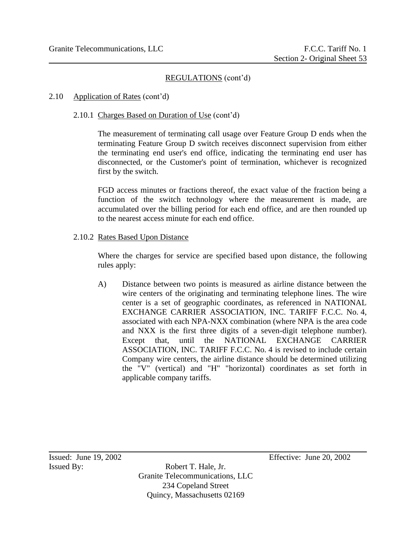2.10 Application of Rates (cont'd)

# 2.10.1 Charges Based on Duration of Use (cont'd)

The measurement of terminating call usage over Feature Group D ends when the terminating Feature Group D switch receives disconnect supervision from either the terminating end user's end office, indicating the terminating end user has disconnected, or the Customer's point of termination, whichever is recognized first by the switch.

FGD access minutes or fractions thereof, the exact value of the fraction being a function of the switch technology where the measurement is made, are accumulated over the billing period for each end office, and are then rounded up to the nearest access minute for each end office.

2.10.2 Rates Based Upon Distance

Where the charges for service are specified based upon distance, the following rules apply:

A) Distance between two points is measured as airline distance between the wire centers of the originating and terminating telephone lines. The wire center is a set of geographic coordinates, as referenced in NATIONAL EXCHANGE CARRIER ASSOCIATION, INC. TARIFF F.C.C. No. 4, associated with each NPA-NXX combination (where NPA is the area code and NXX is the first three digits of a seven-digit telephone number). Except that, until the NATIONAL EXCHANGE CARRIER ASSOCIATION, INC. TARIFF F.C.C. No. 4 is revised to include certain Company wire centers, the airline distance should be determined utilizing the "V" (vertical) and "H" "horizontal) coordinates as set forth in applicable company tariffs.

Issued By: Robert T. Hale, Jr. Granite Telecommunications, LLC 234 Copeland Street Quincy, Massachusetts 02169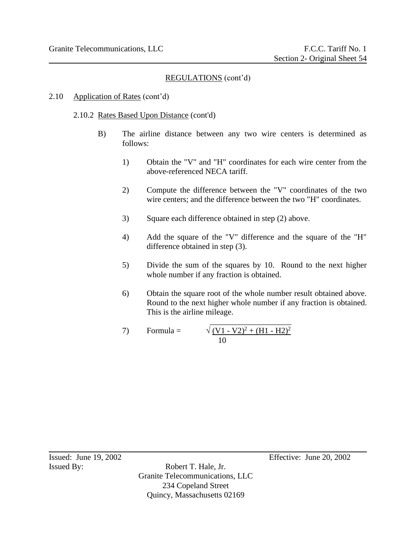# 2.10 Application of Rates (cont'd)

# 2.10.2 Rates Based Upon Distance (cont'd)

- B) The airline distance between any two wire centers is determined as follows:
	- 1) Obtain the "V" and "H" coordinates for each wire center from the above-referenced NECA tariff.
	- 2) Compute the difference between the "V" coordinates of the two wire centers; and the difference between the two "H" coordinates.
	- 3) Square each difference obtained in step (2) above.
	- 4) Add the square of the "V" difference and the square of the "H" difference obtained in step (3).
	- 5) Divide the sum of the squares by 10. Round to the next higher whole number if any fraction is obtained.
	- 6) Obtain the square root of the whole number result obtained above. Round to the next higher whole number if any fraction is obtained. This is the airline mileage.

7) Formula = 
$$
\sqrt{(V1 - V2)^2 + (H1 - H2)^2}
$$

Issued By: Robert T. Hale, Jr. Granite Telecommunications, LLC 234 Copeland Street Quincy, Massachusetts 02169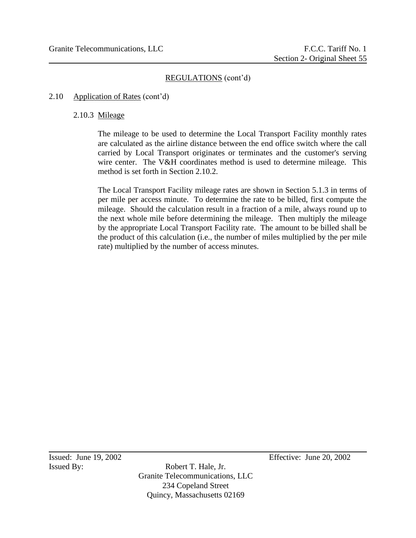# 2.10 Application of Rates (cont'd)

# 2.10.3 Mileage

The mileage to be used to determine the Local Transport Facility monthly rates are calculated as the airline distance between the end office switch where the call carried by Local Transport originates or terminates and the customer's serving wire center. The V&H coordinates method is used to determine mileage. This method is set forth in Section 2.10.2.

The Local Transport Facility mileage rates are shown in Section 5.1.3 in terms of per mile per access minute. To determine the rate to be billed, first compute the mileage. Should the calculation result in a fraction of a mile, always round up to the next whole mile before determining the mileage. Then multiply the mileage by the appropriate Local Transport Facility rate. The amount to be billed shall be the product of this calculation (i.e., the number of miles multiplied by the per mile rate) multiplied by the number of access minutes.

Issued By: Robert T. Hale, Jr. Granite Telecommunications, LLC 234 Copeland Street Quincy, Massachusetts 02169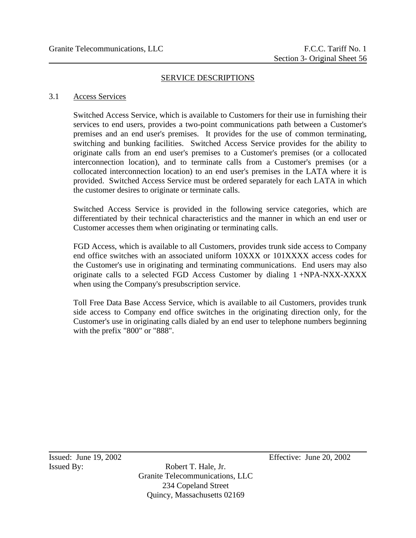#### SERVICE DESCRIPTIONS

#### 3.1 Access Services

Switched Access Service, which is available to Customers for their use in furnishing their services to end users, provides a two-point communications path between a Customer's premises and an end user's premises. It provides for the use of common terminating, switching and bunking facilities. Switched Access Service provides for the ability to originate calls from an end user's premises to a Customer's premises (or a collocated interconnection location), and to terminate calls from a Customer's premises (or a collocated interconnection location) to an end user's premises in the LATA where it is provided. Switched Access Service must be ordered separately for each LATA in which the customer desires to originate or terminate calls.

Switched Access Service is provided in the following service categories, which are differentiated by their technical characteristics and the manner in which an end user or Customer accesses them when originating or terminating calls.

FGD Access, which is available to all Customers, provides trunk side access to Company end office switches with an associated uniform 10XXX or 101XXXX access codes for the Customer's use in originating and terminating communications. End users may also originate calls to a selected FGD Access Customer by dialing 1 +NPA-NXX-XXXX when using the Company's presubscription service.

Toll Free Data Base Access Service, which is available to ail Customers, provides trunk side access to Company end office switches in the originating direction only, for the Customer's use in originating calls dialed by an end user to telephone numbers beginning with the prefix "800" or "888".

Issued By: Robert T. Hale, Jr. Granite Telecommunications, LLC 234 Copeland Street Quincy, Massachusetts 02169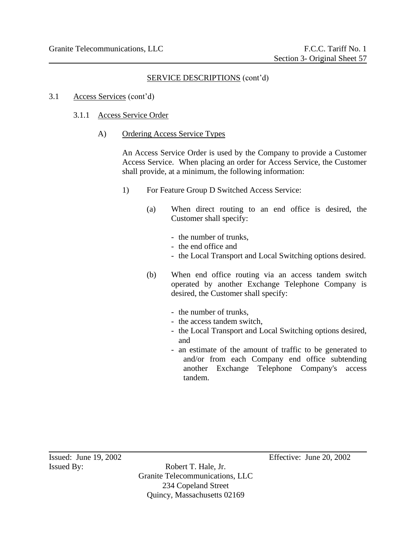- 3.1 Access Services (cont'd)
	- 3.1.1 Access Service Order
		- A) Ordering Access Service Types

An Access Service Order is used by the Company to provide a Customer Access Service. When placing an order for Access Service, the Customer shall provide, at a minimum, the following information:

- 1) For Feature Group D Switched Access Service:
	- (a) When direct routing to an end office is desired, the Customer shall specify:
		- the number of trunks,
		- the end office and
		- the Local Transport and Local Switching options desired.
	- (b) When end office routing via an access tandem switch operated by another Exchange Telephone Company is desired, the Customer shall specify:
		- the number of trunks,
		- the access tandem switch,
		- the Local Transport and Local Switching options desired, and
		- an estimate of the amount of traffic to be generated to and/or from each Company end office subtending another Exchange Telephone Company's access tandem.

Issued By: Robert T. Hale, Jr. Granite Telecommunications, LLC 234 Copeland Street Quincy, Massachusetts 02169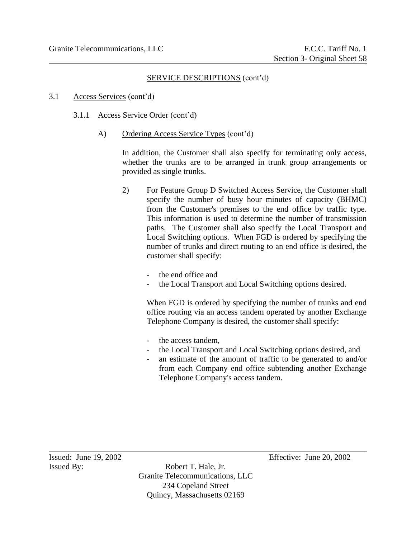- 3.1 Access Services (cont'd)
	- 3.1.1 Access Service Order (cont'd)
		- A) Ordering Access Service Types (cont'd)

In addition, the Customer shall also specify for terminating only access, whether the trunks are to be arranged in trunk group arrangements or provided as single trunks.

- 2) For Feature Group D Switched Access Service, the Customer shall specify the number of busy hour minutes of capacity (BHMC) from the Customer's premises to the end office by traffic type. This information is used to determine the number of transmission paths. The Customer shall also specify the Local Transport and Local Switching options. When FGD is ordered by specifying the number of trunks and direct routing to an end office is desired, the customer shall specify:
	- the end office and
	- the Local Transport and Local Switching options desired.

When FGD is ordered by specifying the number of trunks and end office routing via an access tandem operated by another Exchange Telephone Company is desired, the customer shall specify:

- the access tandem,
- the Local Transport and Local Switching options desired, and
- an estimate of the amount of traffic to be generated to and/or from each Company end office subtending another Exchange Telephone Company's access tandem.

Issued: June 19, 2002 Effective: June 20, 2002

Issued By: Robert T. Hale, Jr. Granite Telecommunications, LLC 234 Copeland Street Quincy, Massachusetts 02169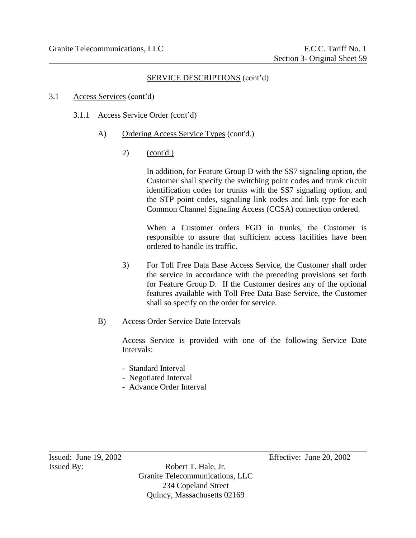- 3.1 Access Services (cont'd)
	- 3.1.1 Access Service Order (cont'd)
		- A) Ordering Access Service Types (cont'd.)
			- 2) (cont'd.)

In addition, for Feature Group D with the SS7 signaling option, the Customer shall specify the switching point codes and trunk circuit identification codes for trunks with the SS7 signaling option, and the STP point codes, signaling link codes and link type for each Common Channel Signaling Access (CCSA) connection ordered.

When a Customer orders FGD in trunks, the Customer is responsible to assure that sufficient access facilities have been ordered to handle its traffic.

3) For Toll Free Data Base Access Service, the Customer shall order the service in accordance with the preceding provisions set forth for Feature Group D. If the Customer desires any of the optional features available with Toll Free Data Base Service, the Customer shall so specify on the order for service.

### B) Access Order Service Date Intervals

Access Service is provided with one of the following Service Date Intervals:

- Standard Interval
- Negotiated Interval
- Advance Order Interval

Issued By: Robert T. Hale, Jr. Granite Telecommunications, LLC 234 Copeland Street Quincy, Massachusetts 02169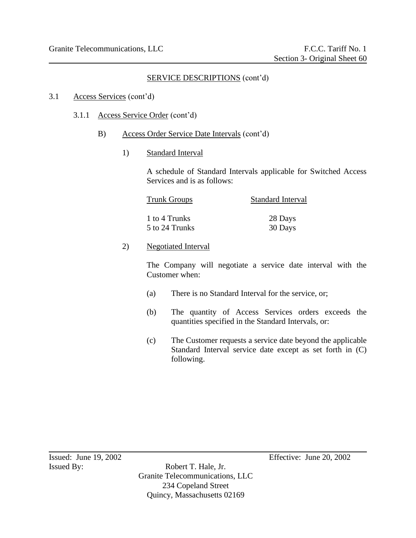#### 3.1 Access Services (cont'd)

#### 3.1.1 Access Service Order (cont'd)

- B) Access Order Service Date Intervals (cont'd)
	- 1) Standard Interval

A schedule of Standard Intervals applicable for Switched Access Services and is as follows:

| <b>Trunk Groups</b> | Standard Interval |
|---------------------|-------------------|
| 1 to 4 Trunks       | 28 Days           |
| 5 to 24 Trunks      | 30 Days           |

2) Negotiated Interval

The Company will negotiate a service date interval with the Customer when:

- (a) There is no Standard Interval for the service, or;
- (b) The quantity of Access Services orders exceeds the quantities specified in the Standard Intervals, or:
- (c) The Customer requests a service date beyond the applicable Standard Interval service date except as set forth in (C) following.

Issued By: Robert T. Hale, Jr. Granite Telecommunications, LLC 234 Copeland Street Quincy, Massachusetts 02169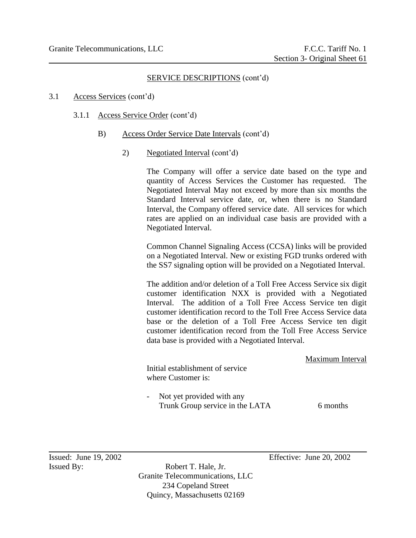#### 3.1 Access Services (cont'd)

- 3.1.1 Access Service Order (cont'd)
	- B) Access Order Service Date Intervals (cont'd)
		- 2) Negotiated Interval (cont'd)

The Company will offer a service date based on the type and quantity of Access Services the Customer has requested. The Negotiated Interval May not exceed by more than six months the Standard Interval service date, or, when there is no Standard Interval, the Company offered service date. All services for which rates are applied on an individual case basis are provided with a Negotiated Interval.

Common Channel Signaling Access (CCSA) links will be provided on a Negotiated Interval. New or existing FGD trunks ordered with the SS7 signaling option will be provided on a Negotiated Interval.

The addition and/or deletion of a Toll Free Access Service six digit customer identification NXX is provided with a Negotiated Interval. The addition of a Toll Free Access Service ten digit customer identification record to the Toll Free Access Service data base or the deletion of a Toll Free Access Service ten digit customer identification record from the Toll Free Access Service data base is provided with a Negotiated Interval.

| Initial establishment of service<br>where Customer is:       | Maximum Interval |
|--------------------------------------------------------------|------------------|
| Not yet provided with any<br>Trunk Group service in the LATA | 6 months         |

Issued By: Robert T. Hale, Jr. Granite Telecommunications, LLC 234 Copeland Street Quincy, Massachusetts 02169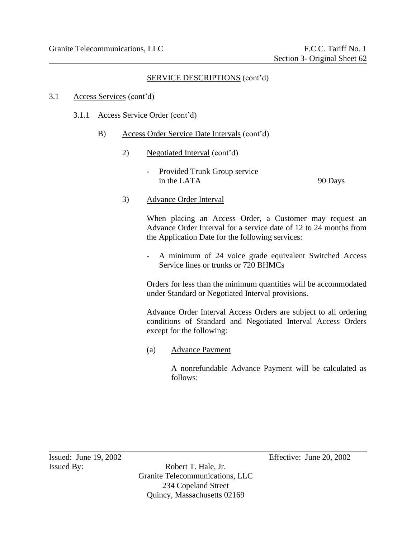#### 3.1 Access Services (cont'd)

- 3.1.1 Access Service Order (cont'd)
	- B) Access Order Service Date Intervals (cont'd)
		- 2) Negotiated Interval (cont'd)
			- Provided Trunk Group service in the LATA 90 Days
		- 3) Advance Order Interval

When placing an Access Order, a Customer may request an Advance Order Interval for a service date of 12 to 24 months from the Application Date for the following services:

- A minimum of 24 voice grade equivalent Switched Access Service lines or trunks or 720 BHMCs

Orders for less than the minimum quantities will be accommodated under Standard or Negotiated Interval provisions.

Advance Order Interval Access Orders are subject to all ordering conditions of Standard and Negotiated Interval Access Orders except for the following:

(a) Advance Payment

A nonrefundable Advance Payment will be calculated as follows:

Issued By: Robert T. Hale, Jr. Granite Telecommunications, LLC 234 Copeland Street Quincy, Massachusetts 02169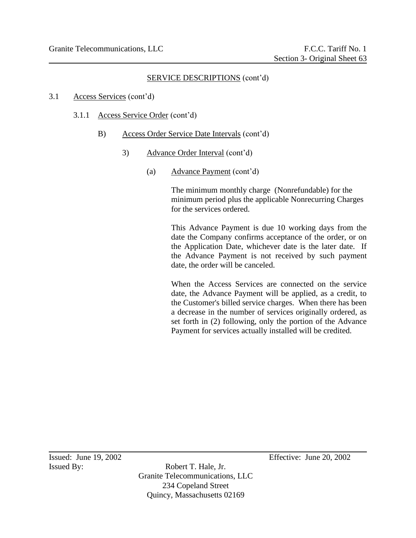3.1 Access Services (cont'd)

- 3.1.1 Access Service Order (cont'd)
	- B) Access Order Service Date Intervals (cont'd)
		- 3) Advance Order Interval (cont'd)
			- (a) Advance Payment (cont'd)

The minimum monthly charge (Nonrefundable) for the minimum period plus the applicable Nonrecurring Charges for the services ordered.

This Advance Payment is due 10 working days from the date the Company confirms acceptance of the order, or on the Application Date, whichever date is the later date. If the Advance Payment is not received by such payment date, the order will be canceled.

When the Access Services are connected on the service date, the Advance Payment will be applied, as a credit, to the Customer's billed service charges. When there has been a decrease in the number of services originally ordered, as set forth in (2) following, only the portion of the Advance Payment for services actually installed will be credited.

Issued By: Robert T. Hale, Jr. Granite Telecommunications, LLC 234 Copeland Street Quincy, Massachusetts 02169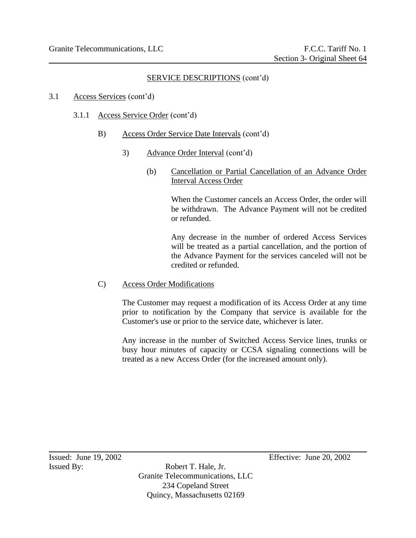- 3.1 Access Services (cont'd)
	- 3.1.1 Access Service Order (cont'd)
		- B) Access Order Service Date Intervals (cont'd)
			- 3) Advance Order Interval (cont'd)
				- (b) Cancellation or Partial Cancellation of an Advance Order Interval Access Order

When the Customer cancels an Access Order, the order will be withdrawn. The Advance Payment will not be credited or refunded.

Any decrease in the number of ordered Access Services will be treated as a partial cancellation, and the portion of the Advance Payment for the services canceled will not be credited or refunded.

C) Access Order Modifications

The Customer may request a modification of its Access Order at any time prior to notification by the Company that service is available for the Customer's use or prior to the service date, whichever is later.

Any increase in the number of Switched Access Service lines, trunks or busy hour minutes of capacity or CCSA signaling connections will be treated as a new Access Order (for the increased amount only).

Issued By: Robert T. Hale, Jr. Granite Telecommunications, LLC 234 Copeland Street Quincy, Massachusetts 02169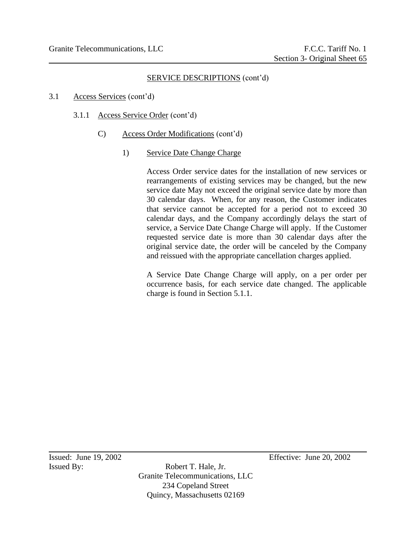3.1 Access Services (cont'd)

- 3.1.1 Access Service Order (cont'd)
	- C) Access Order Modifications (cont'd)
		- 1) Service Date Change Charge

Access Order service dates for the installation of new services or rearrangements of existing services may be changed, but the new service date May not exceed the original service date by more than 30 calendar days. When, for any reason, the Customer indicates that service cannot be accepted for a period not to exceed 30 calendar days, and the Company accordingly delays the start of service, a Service Date Change Charge will apply. If the Customer requested service date is more than 30 calendar days after the original service date, the order will be canceled by the Company and reissued with the appropriate cancellation charges applied.

A Service Date Change Charge will apply, on a per order per occurrence basis, for each service date changed. The applicable charge is found in Section 5.1.1.

Issued By: Robert T. Hale, Jr. Granite Telecommunications, LLC 234 Copeland Street Quincy, Massachusetts 02169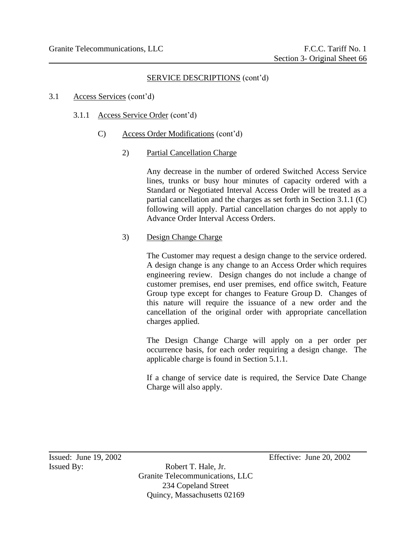#### 3.1 Access Services (cont'd)

- 3.1.1 Access Service Order (cont'd)
	- C) Access Order Modifications (cont'd)
		- 2) Partial Cancellation Charge

Any decrease in the number of ordered Switched Access Service lines, trunks or busy hour minutes of capacity ordered with a Standard or Negotiated Interval Access Order will be treated as a partial cancellation and the charges as set forth in Section 3.1.1 (C) following will apply. Partial cancellation charges do not apply to Advance Order Interval Access Orders.

### 3) Design Change Charge

The Customer may request a design change to the service ordered. A design change is any change to an Access Order which requires engineering review. Design changes do not include a change of customer premises, end user premises, end office switch, Feature Group type except for changes to Feature Group D. Changes of this nature will require the issuance of a new order and the cancellation of the original order with appropriate cancellation charges applied.

The Design Change Charge will apply on a per order per occurrence basis, for each order requiring a design change. The applicable charge is found in Section 5.1.1.

If a change of service date is required, the Service Date Change Charge will also apply.

Issued By: Robert T. Hale, Jr. Granite Telecommunications, LLC 234 Copeland Street Quincy, Massachusetts 02169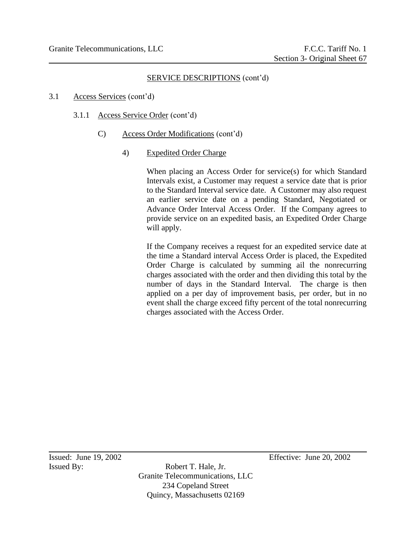3.1 Access Services (cont'd)

- 3.1.1 Access Service Order (cont'd)
	- C) Access Order Modifications (cont'd)
		- 4) Expedited Order Charge

When placing an Access Order for service(s) for which Standard Intervals exist, a Customer may request a service date that is prior to the Standard Interval service date. A Customer may also request an earlier service date on a pending Standard, Negotiated or Advance Order Interval Access Order. If the Company agrees to provide service on an expedited basis, an Expedited Order Charge will apply.

If the Company receives a request for an expedited service date at the time a Standard interval Access Order is placed, the Expedited Order Charge is calculated by summing ail the nonrecurring charges associated with the order and then dividing this total by the number of days in the Standard Interval. The charge is then applied on a per day of improvement basis, per order, but in no event shall the charge exceed fifty percent of the total nonrecurring charges associated with the Access Order.

Issued By: Robert T. Hale, Jr. Granite Telecommunications, LLC 234 Copeland Street Quincy, Massachusetts 02169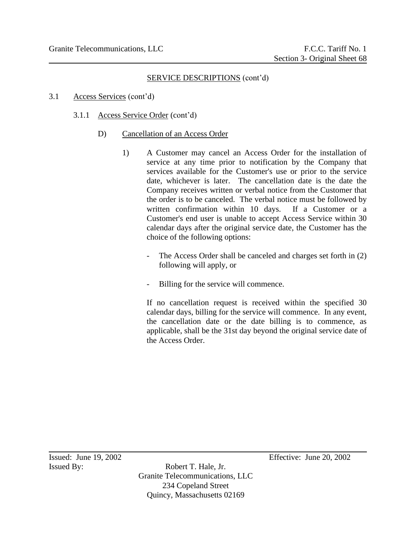- 3.1 Access Services (cont'd)
	- 3.1.1 Access Service Order (cont'd)
		- D) Cancellation of an Access Order
			- 1) A Customer may cancel an Access Order for the installation of service at any time prior to notification by the Company that services available for the Customer's use or prior to the service date, whichever is later. The cancellation date is the date the Company receives written or verbal notice from the Customer that the order is to be canceled. The verbal notice must be followed by written confirmation within 10 days. If a Customer or a Customer's end user is unable to accept Access Service within 30 calendar days after the original service date, the Customer has the choice of the following options:
				- The Access Order shall be canceled and charges set forth in (2) following will apply, or
				- Billing for the service will commence.

If no cancellation request is received within the specified 30 calendar days, billing for the service will commence. In any event, the cancellation date or the date billing is to commence, as applicable, shall be the 31st day beyond the original service date of the Access Order.

Issued By: Robert T. Hale, Jr. Granite Telecommunications, LLC 234 Copeland Street Quincy, Massachusetts 02169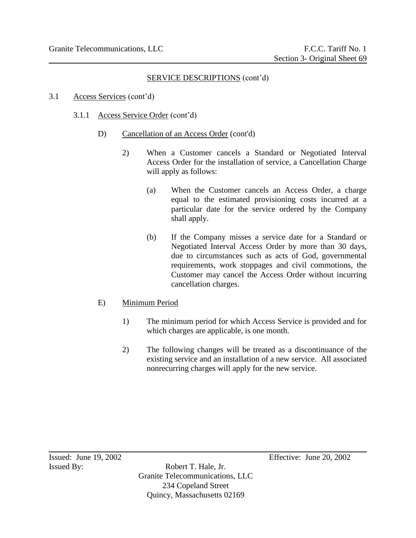- 3.1 Access Services (cont'd)
	- 3.1.1 Access Service Order (cont'd)
		- D) Cancellation of an Access Order (cont'd)
			- 2) When a Customer cancels a Standard or Negotiated Interval Access Order for the installation of service, a Cancellation Charge will apply as follows:
				- (a) When the Customer cancels an Access Order, a charge equal to the estimated provisioning costs incurred at a particular date for the service ordered by the Company shall apply.
				- (b) If the Company misses a service date for a Standard or Negotiated Interval Access Order by more than 30 days, due to circumstances such as acts of God, governmental requirements, work stoppages and civil commotions, the Customer may cancel the Access Order without incurring cancellation charges.

# E) Minimum Period

- 1) The minimum period for which Access Service is provided and for which charges are applicable, is one month.
- 2) The following changes will be treated as a discontinuance of the existing service and an installation of a new service. All associated nonrecurring charges will apply for the new service.

Issued By: Robert T. Hale, Jr. Granite Telecommunications, LLC 234 Copeland Street Quincy, Massachusetts 02169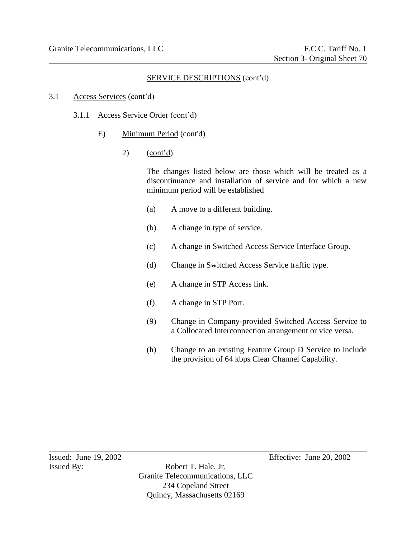- 3.1 Access Services (cont'd)
	- 3.1.1 Access Service Order (cont'd)
		- E) Minimum Period (cont'd)
			- 2)  $(\text{cont'd})$

The changes listed below are those which will be treated as a discontinuance and installation of service and for which a new minimum period will be established

- (a) A move to a different building.
- (b) A change in type of service.
- (c) A change in Switched Access Service Interface Group.
- (d) Change in Switched Access Service traffic type.
- (e) A change in STP Access link.
- (f) A change in STP Port.
- (9) Change in Company-provided Switched Access Service to a Collocated Interconnection arrangement or vice versa.
- (h) Change to an existing Feature Group D Service to include the provision of 64 kbps Clear Channel Capability.

Issued By: Robert T. Hale, Jr. Granite Telecommunications, LLC 234 Copeland Street Quincy, Massachusetts 02169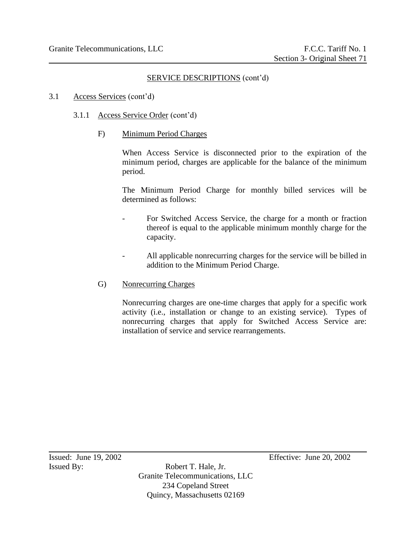- 3.1 Access Services (cont'd)
	- 3.1.1 Access Service Order (cont'd)
		- F) Minimum Period Charges

When Access Service is disconnected prior to the expiration of the minimum period, charges are applicable for the balance of the minimum period.

The Minimum Period Charge for monthly billed services will be determined as follows:

- For Switched Access Service, the charge for a month or fraction thereof is equal to the applicable minimum monthly charge for the capacity.
- All applicable nonrecurring charges for the service will be billed in addition to the Minimum Period Charge.
- G) Nonrecurring Charges

Nonrecurring charges are one-time charges that apply for a specific work activity (i.e., installation or change to an existing service). Types of nonrecurring charges that apply for Switched Access Service are: installation of service and service rearrangements.

Issued By: Robert T. Hale, Jr. Granite Telecommunications, LLC 234 Copeland Street Quincy, Massachusetts 02169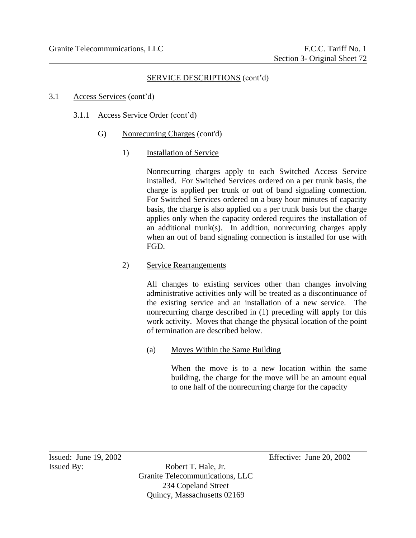#### 3.1 Access Services (cont'd)

- 3.1.1 Access Service Order (cont'd)
	- G) Nonrecurring Charges (cont'd)
		- 1) Installation of Service

Nonrecurring charges apply to each Switched Access Service installed. For Switched Services ordered on a per trunk basis, the charge is applied per trunk or out of band signaling connection. For Switched Services ordered on a busy hour minutes of capacity basis, the charge is also applied on a per trunk basis but the charge applies only when the capacity ordered requires the installation of an additional trunk(s). In addition, nonrecurring charges apply when an out of band signaling connection is installed for use with FGD.

# 2) Service Rearrangements

All changes to existing services other than changes involving administrative activities only will be treated as a discontinuance of the existing service and an installation of a new service. The nonrecurring charge described in (1) preceding will apply for this work activity. Moves that change the physical location of the point of termination are described below.

(a) Moves Within the Same Building

When the move is to a new location within the same building, the charge for the move will be an amount equal to one half of the nonrecurring charge for the capacity

Issued By: Robert T. Hale, Jr. Granite Telecommunications, LLC 234 Copeland Street Quincy, Massachusetts 02169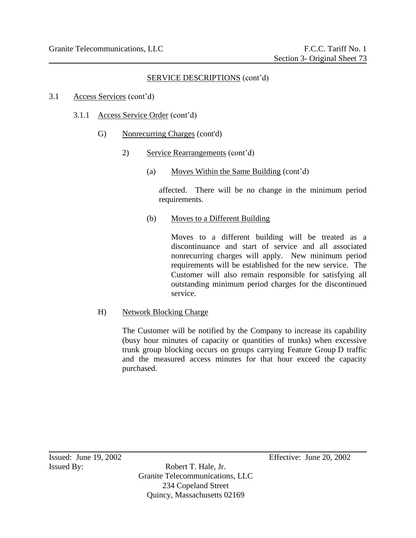- 3.1 Access Services (cont'd)
	- 3.1.1 Access Service Order (cont'd)
		- G) Nonrecurring Charges (cont'd)
			- 2) Service Rearrangements (cont'd)
				- (a) Moves Within the Same Building (cont'd)

affected. There will be no change in the minimum period requirements.

(b) Moves to a Different Building

Moves to a different building will be treated as a discontinuance and start of service and all associated nonrecurring charges will apply. New minimum period requirements will be established for the new service. The Customer will also remain responsible for satisfying all outstanding minimum period charges for the discontinued service.

H) Network Blocking Charge

The Customer will be notified by the Company to increase its capability (busy hour minutes of capacity or quantities of trunks) when excessive trunk group blocking occurs on groups carrying Feature Group D traffic and the measured access minutes for that hour exceed the capacity purchased.

Issued By: Robert T. Hale, Jr. Granite Telecommunications, LLC 234 Copeland Street Quincy, Massachusetts 02169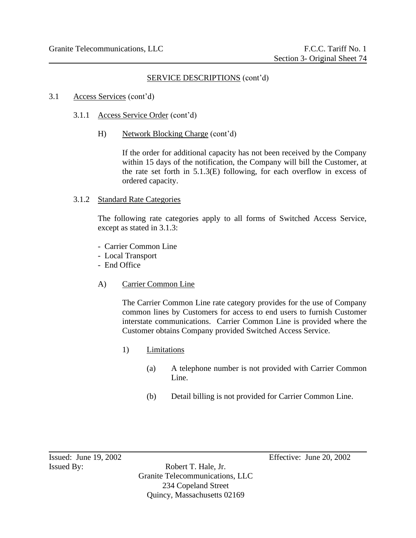- 3.1 Access Services (cont'd)
	- 3.1.1 Access Service Order (cont'd)
		- H) Network Blocking Charge (cont'd)

If the order for additional capacity has not been received by the Company within 15 days of the notification, the Company will bill the Customer, at the rate set forth in 5.1.3(E) following, for each overflow in excess of ordered capacity.

#### 3.1.2 Standard Rate Categories

The following rate categories apply to all forms of Switched Access Service, except as stated in 3.1.3:

- Carrier Common Line
- Local Transport
- End Office
- A) Carrier Common Line

The Carrier Common Line rate category provides for the use of Company common lines by Customers for access to end users to furnish Customer interstate communications. Carrier Common Line is provided where the Customer obtains Company provided Switched Access Service.

- 1) Limitations
	- (a) A telephone number is not provided with Carrier Common Line.
	- (b) Detail billing is not provided for Carrier Common Line.

Issued By: Robert T. Hale, Jr. Granite Telecommunications, LLC 234 Copeland Street Quincy, Massachusetts 02169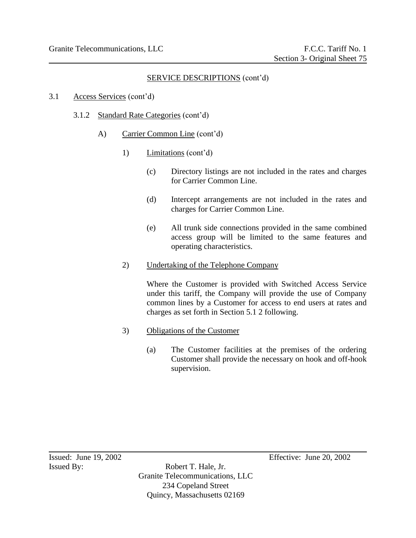- 3.1 Access Services (cont'd)
	- 3.1.2 Standard Rate Categories (cont'd)
		- A) Carrier Common Line (cont'd)
			- 1) Limitations (cont'd)
				- (c) Directory listings are not included in the rates and charges for Carrier Common Line.
				- (d) Intercept arrangements are not included in the rates and charges for Carrier Common Line.
				- (e) All trunk side connections provided in the same combined access group will be limited to the same features and operating characteristics.
			- 2) Undertaking of the Telephone Company

Where the Customer is provided with Switched Access Service under this tariff, the Company will provide the use of Company common lines by a Customer for access to end users at rates and charges as set forth in Section 5.1 2 following.

- 3) Obligations of the Customer
	- (a) The Customer facilities at the premises of the ordering Customer shall provide the necessary on hook and off-hook supervision.

Issued By: Robert T. Hale, Jr. Granite Telecommunications, LLC 234 Copeland Street Quincy, Massachusetts 02169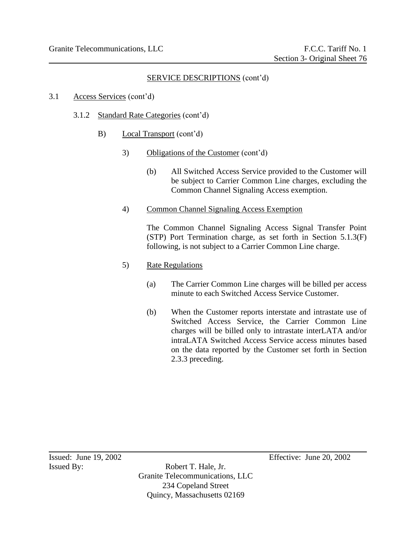- 3.1 Access Services (cont'd)
	- 3.1.2 Standard Rate Categories (cont'd)
		- B) Local Transport (cont'd)
			- 3) Obligations of the Customer (cont'd)
				- (b) All Switched Access Service provided to the Customer will be subject to Carrier Common Line charges, excluding the Common Channel Signaling Access exemption.
			- 4) Common Channel Signaling Access Exemption

The Common Channel Signaling Access Signal Transfer Point (STP) Port Termination charge, as set forth in Section 5.1.3(F) following, is not subject to a Carrier Common Line charge.

- 5) Rate Regulations
	- (a) The Carrier Common Line charges will be billed per access minute to each Switched Access Service Customer.
	- (b) When the Customer reports interstate and intrastate use of Switched Access Service, the Carrier Common Line charges will be billed only to intrastate interLATA and/or intraLATA Switched Access Service access minutes based on the data reported by the Customer set forth in Section 2.3.3 preceding.

Issued By: Robert T. Hale, Jr. Granite Telecommunications, LLC 234 Copeland Street Quincy, Massachusetts 02169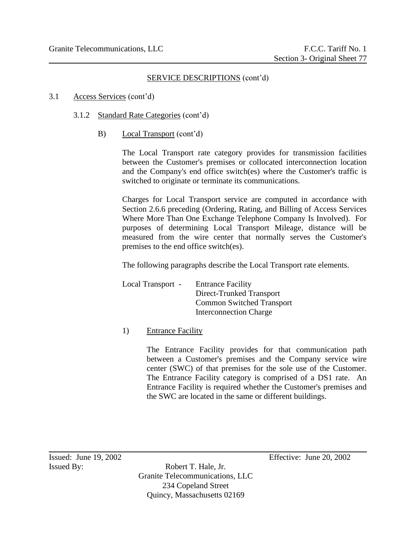- 3.1 Access Services (cont'd)
	- 3.1.2 Standard Rate Categories (cont'd)
		- B) Local Transport (cont'd)

The Local Transport rate category provides for transmission facilities between the Customer's premises or collocated interconnection location and the Company's end office switch(es) where the Customer's traffic is switched to originate or terminate its communications.

Charges for Local Transport service are computed in accordance with Section 2.6.6 preceding (Ordering, Rating, and Billing of Access Services Where More Than One Exchange Telephone Company Is Involved). For purposes of determining Local Transport Mileage, distance will be measured from the wire center that normally serves the Customer's premises to the end office switch(es).

The following paragraphs describe the Local Transport rate elements.

Local Transport - Entrance Facility Direct-Trunked Transport Common Switched Transport Interconnection Charge

1) Entrance Facility

The Entrance Facility provides for that communication path between a Customer's premises and the Company service wire center (SWC) of that premises for the sole use of the Customer. The Entrance Facility category is comprised of a DS1 rate. An Entrance Facility is required whether the Customer's premises and the SWC are located in the same or different buildings.

Issued: June 19, 2002 Effective: June 20, 2002

Issued By: Robert T. Hale, Jr. Granite Telecommunications, LLC 234 Copeland Street Quincy, Massachusetts 02169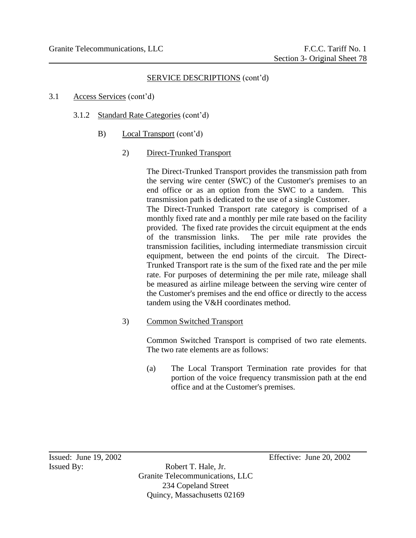#### 3.1 Access Services (cont'd)

- 3.1.2 Standard Rate Categories (cont'd)
	- B) Local Transport (cont'd)

#### 2) Direct-Trunked Transport

The Direct-Trunked Transport provides the transmission path from the serving wire center (SWC) of the Customer's premises to an end office or as an option from the SWC to a tandem. This transmission path is dedicated to the use of a single Customer. The Direct-Trunked Transport rate category is comprised of a monthly fixed rate and a monthly per mile rate based on the facility provided. The fixed rate provides the circuit equipment at the ends of the transmission links. The per mile rate provides the transmission facilities, including intermediate transmission circuit equipment, between the end points of the circuit. The Direct-Trunked Transport rate is the sum of the fixed rate and the per mile rate. For purposes of determining the per mile rate, mileage shall be measured as airline mileage between the serving wire center of the Customer's premises and the end office or directly to the access tandem using the V&H coordinates method.

#### 3) Common Switched Transport

Common Switched Transport is comprised of two rate elements. The two rate elements are as follows:

(a) The Local Transport Termination rate provides for that portion of the voice frequency transmission path at the end office and at the Customer's premises.

Issued By: Robert T. Hale, Jr. Granite Telecommunications, LLC 234 Copeland Street Quincy, Massachusetts 02169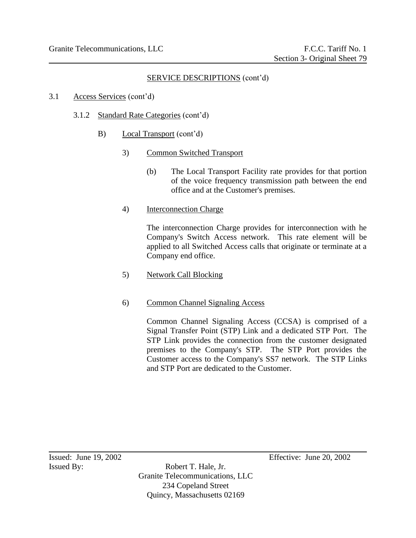- 3.1 Access Services (cont'd)
	- 3.1.2 Standard Rate Categories (cont'd)
		- B) Local Transport (cont'd)
			- 3) Common Switched Transport
				- (b) The Local Transport Facility rate provides for that portion of the voice frequency transmission path between the end office and at the Customer's premises.

## 4) Interconnection Charge

The interconnection Charge provides for interconnection with he Company's Switch Access network. This rate element will be applied to all Switched Access calls that originate or terminate at a Company end office.

5) Network Call Blocking

# 6) Common Channel Signaling Access

Common Channel Signaling Access (CCSA) is comprised of a Signal Transfer Point (STP) Link and a dedicated STP Port. The STP Link provides the connection from the customer designated premises to the Company's STP. The STP Port provides the Customer access to the Company's SS7 network. The STP Links and STP Port are dedicated to the Customer.

Issued By: Robert T. Hale, Jr. Granite Telecommunications, LLC 234 Copeland Street Quincy, Massachusetts 02169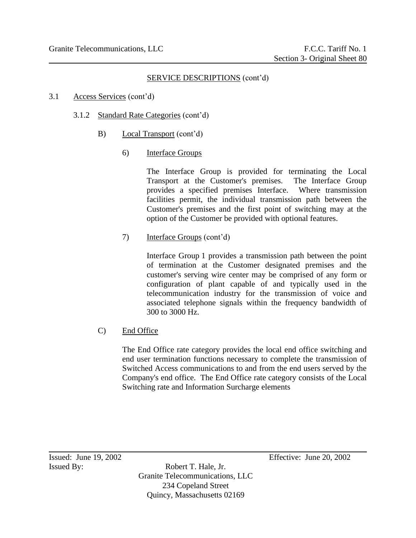- 3.1 Access Services (cont'd)
	- 3.1.2 Standard Rate Categories (cont'd)
		- B) Local Transport (cont'd)
			- 6) Interface Groups

The Interface Group is provided for terminating the Local Transport at the Customer's premises. The Interface Group provides a specified premises Interface. Where transmission facilities permit, the individual transmission path between the Customer's premises and the first point of switching may at the option of the Customer be provided with optional features.

7) Interface Groups (cont'd)

Interface Group 1 provides a transmission path between the point of termination at the Customer designated premises and the customer's serving wire center may be comprised of any form or configuration of plant capable of and typically used in the telecommunication industry for the transmission of voice and associated telephone signals within the frequency bandwidth of 300 to 3000 Hz.

C) End Office

The End Office rate category provides the local end office switching and end user termination functions necessary to complete the transmission of Switched Access communications to and from the end users served by the Company's end office. The End Office rate category consists of the Local Switching rate and Information Surcharge elements

Issued By: Robert T. Hale, Jr. Granite Telecommunications, LLC 234 Copeland Street Quincy, Massachusetts 02169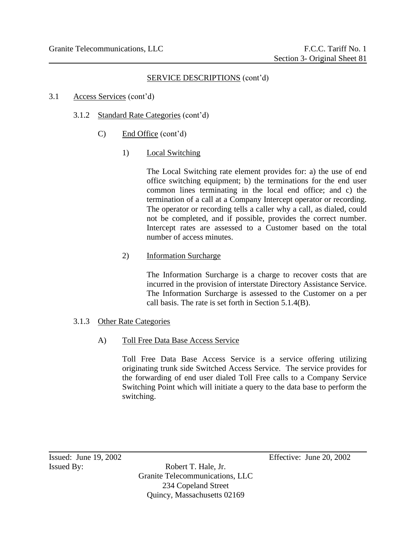- 3.1 Access Services (cont'd)
	- 3.1.2 Standard Rate Categories (cont'd)
		- C) End Office (cont'd)
			- 1) Local Switching

The Local Switching rate element provides for: a) the use of end office switching equipment; b) the terminations for the end user common lines terminating in the local end office; and c) the termination of a call at a Company Intercept operator or recording. The operator or recording tells a caller why a call, as dialed, could not be completed, and if possible, provides the correct number. Intercept rates are assessed to a Customer based on the total number of access minutes.

2) Information Surcharge

The Information Surcharge is a charge to recover costs that are incurred in the provision of interstate Directory Assistance Service. The Information Surcharge is assessed to the Customer on a per call basis. The rate is set forth in Section 5.1.4(B).

- 3.1.3 Other Rate Categories
	- A) Toll Free Data Base Access Service

Toll Free Data Base Access Service is a service offering utilizing originating trunk side Switched Access Service. The service provides for the forwarding of end user dialed Toll Free calls to a Company Service Switching Point which will initiate a query to the data base to perform the switching.

Issued By: Robert T. Hale, Jr. Granite Telecommunications, LLC 234 Copeland Street Quincy, Massachusetts 02169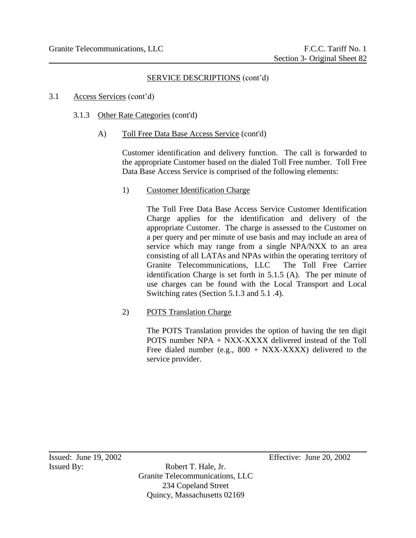- 3.1 Access Services (cont'd)
	- 3.1.3 Other Rate Categories (cont'd)
		- A) Toll Free Data Base Access Service (cont'd)

Customer identification and delivery function. The call is forwarded to the appropriate Customer based on the dialed Toll Free number. Toll Free Data Base Access Service is comprised of the following elements:

1) Customer Identification Charge

The Toll Free Data Base Access Service Customer Identification Charge applies for the identification and delivery of the appropriate Customer. The charge is assessed to the Customer on a per query and per minute of use basis and may include an area of service which may range from a single NPA/NXX to an area consisting of all LATAs and NPAs within the operating territory of Granite Telecommunications, LLC The Toll Free Carrier identification Charge is set forth in 5.1.5 (A). The per minute of use charges can be found with the Local Transport and Local Switching rates (Section 5.1.3 and 5.1 .4).

2) POTS Translation Charge

The POTS Translation provides the option of having the ten digit POTS number NPA + NXX-XXXX delivered instead of the Toll Free dialed number (e.g.,  $800 + NXX-XXXX$ ) delivered to the service provider.

Issued By: Robert T. Hale, Jr. Granite Telecommunications, LLC 234 Copeland Street Quincy, Massachusetts 02169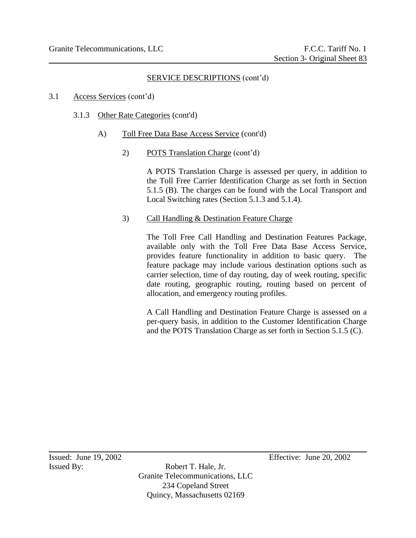#### 3.1 Access Services (cont'd)

- 3.1.3 Other Rate Categories (cont'd)
	- A) Toll Free Data Base Access Service (cont'd)
		- 2) POTS Translation Charge (cont'd)

A POTS Translation Charge is assessed per query, in addition to the Toll Free Carrier Identification Charge as set forth in Section 5.1.5 (B). The charges can be found with the Local Transport and Local Switching rates (Section 5.1.3 and 5.1.4).

3) Call Handling & Destination Feature Charge

The Toll Free Call Handling and Destination Features Package, available only with the Toll Free Data Base Access Service, provides feature functionality in addition to basic query. The feature package may include various destination options such as carrier selection, time of day routing, day of week routing, specific date routing, geographic routing, routing based on percent of allocation, and emergency routing profiles.

A Call Handling and Destination Feature Charge is assessed on a per-query basis, in addition to the Customer Identification Charge and the POTS Translation Charge as set forth in Section 5.1.5 (C).

Issued By: Robert T. Hale, Jr. Granite Telecommunications, LLC 234 Copeland Street Quincy, Massachusetts 02169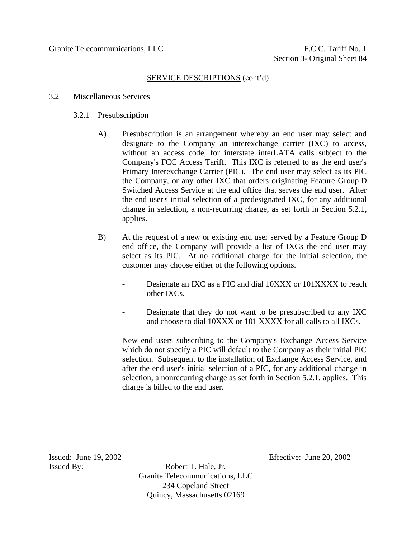#### 3.2 Miscellaneous Services

#### 3.2.1 Presubscription

- A) Presubscription is an arrangement whereby an end user may select and designate to the Company an interexchange carrier (IXC) to access, without an access code, for interstate interLATA calls subject to the Company's FCC Access Tariff. This IXC is referred to as the end user's Primary Interexchange Carrier (PIC). The end user may select as its PIC the Company, or any other IXC that orders originating Feature Group D Switched Access Service at the end office that serves the end user. After the end user's initial selection of a predesignated IXC, for any additional change in selection, a non-recurring charge, as set forth in Section 5.2.1, applies.
- B) At the request of a new or existing end user served by a Feature Group D end office, the Company will provide a list of IXCs the end user may select as its PIC. At no additional charge for the initial selection, the customer may choose either of the following options.
	- Designate an IXC as a PIC and dial 10XXX or 101XXXX to reach other IXCs.
	- Designate that they do not want to be presubscribed to any IXC and choose to dial 10XXX or 101 XXXX for all calls to all IXCs.

New end users subscribing to the Company's Exchange Access Service which do not specify a PIC will default to the Company as their initial PIC selection. Subsequent to the installation of Exchange Access Service, and after the end user's initial selection of a PIC, for any additional change in selection, a nonrecurring charge as set forth in Section 5.2.1, applies. This charge is billed to the end user.

Issued By: Robert T. Hale, Jr. Granite Telecommunications, LLC 234 Copeland Street Quincy, Massachusetts 02169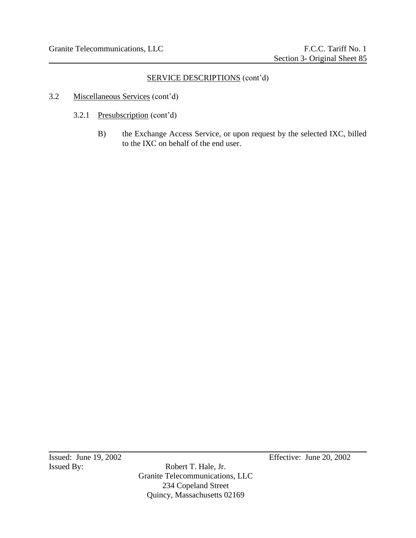- 3.2 Miscellaneous Services (cont'd)
	- 3.2.1 Presubscription (cont'd)
		- B) the Exchange Access Service, or upon request by the selected IXC, billed to the IXC on behalf of the end user.

Issued: June 19, 2002<br>Issued By: Robert T. Hale, Jr. Effective: June 20, 2002

Robert T. Hale, Jr. Granite Telecommunications, LLC 234 Copeland Street Quincy, Massachusetts 02169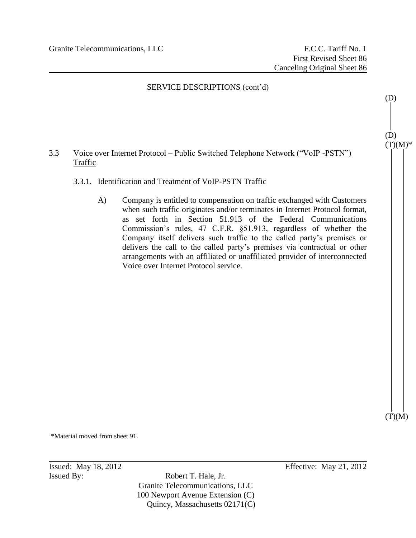## 3.3 Voice over Internet Protocol – Public Switched Telephone Network ("VoIP -PSTN") Traffic

- 3.3.1. Identification and Treatment of VoIP-PSTN Traffic
	- A) Company is entitled to compensation on traffic exchanged with Customers when such traffic originates and/or terminates in Internet Protocol format, as set forth in Section 51.913 of the Federal Communications Commission's rules, 47 C.F.R. §51.913, regardless of whether the Company itself delivers such traffic to the called party's premises or delivers the call to the called party's premises via contractual or other arrangements with an affiliated or unaffiliated provider of interconnected Voice over Internet Protocol service.

\*Material moved from sheet 91.

Issued By: Robert T. Hale, Jr. Granite Telecommunications, LLC 100 Newport Avenue Extension (C) Quincy, Massachusetts 02171(C)

Issued: May 18, 2012 Effective: May 21, 2012

(D)  $(T)(M)^*$ 

 $(T)(M)$ 

(D)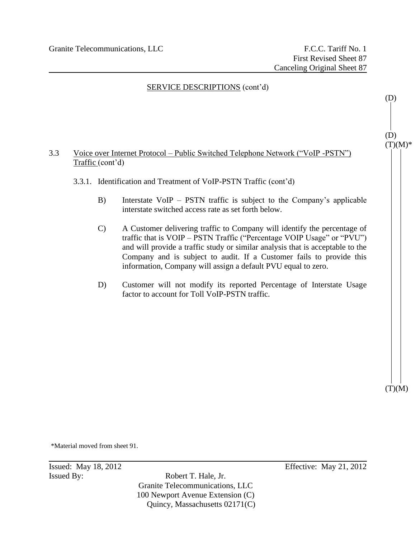

 $(T)(M)$ 

\*Material moved from sheet 91.

Issued By: Robert T. Hale, Jr. Granite Telecommunications, LLC 100 Newport Avenue Extension (C) Quincy, Massachusetts 02171(C)

**Issued:** May 18, 2012 **Effective:** May 21, 2012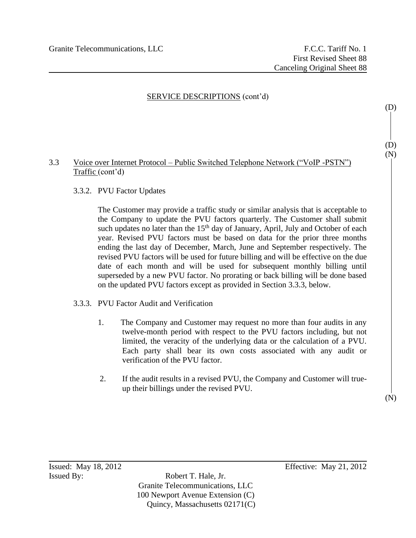## 3.3 Voice over Internet Protocol – Public Switched Telephone Network ("VoIP -PSTN") Traffic (cont'd)

## 3.3.2. PVU Factor Updates

The Customer may provide a traffic study or similar analysis that is acceptable to the Company to update the PVU factors quarterly. The Customer shall submit such updates no later than the  $15<sup>th</sup>$  day of January, April, July and October of each year. Revised PVU factors must be based on data for the prior three months ending the last day of December, March, June and September respectively. The revised PVU factors will be used for future billing and will be effective on the due date of each month and will be used for subsequent monthly billing until superseded by a new PVU factor. No prorating or back billing will be done based on the updated PVU factors except as provided in Section 3.3.3, below.

#### 3.3.3. PVU Factor Audit and Verification

- 1. The Company and Customer may request no more than four audits in any twelve-month period with respect to the PVU factors including, but not limited, the veracity of the underlying data or the calculation of a PVU. Each party shall bear its own costs associated with any audit or verification of the PVU factor.
- 2. If the audit results in a revised PVU, the Company and Customer will trueup their billings under the revised PVU.

(D)

(D) (N)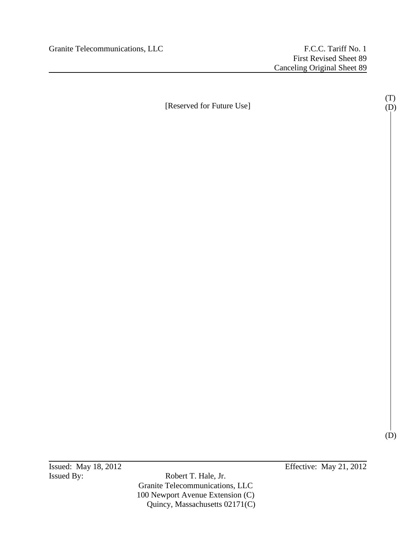[Reserved for Future Use]

(T) (D)

(D)

Issued By: Robert T. Hale, Jr. Granite Telecommunications, LLC 100 Newport Avenue Extension (C) Quincy, Massachusetts 02171(C)

**Issued:** May 18, 2012 **Effective:** May 21, 2012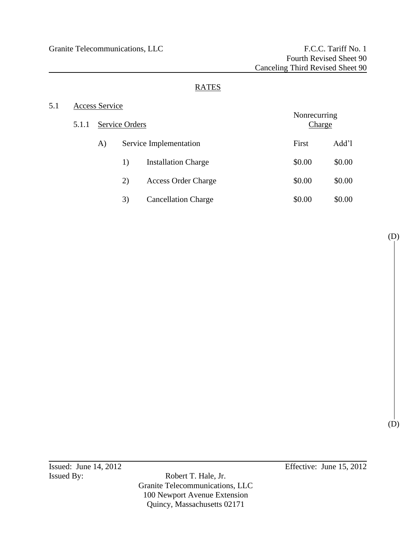# RATES

# 5.1 Access Service

| 5.1.1 | Service Orders |    |                            | Nonrecurring<br><b>Charge</b> |        |
|-------|----------------|----|----------------------------|-------------------------------|--------|
|       | A)             |    | Service Implementation     | First                         | Add'l  |
|       |                | 1) | <b>Installation Charge</b> | \$0.00                        | \$0.00 |
|       |                | 2) | <b>Access Order Charge</b> | \$0.00                        | \$0.00 |
|       |                | 3) | <b>Cancellation Charge</b> | \$0.00                        | \$0.00 |

(D)

(D)

Issued By: Robert T. Hale, Jr. Granite Telecommunications, LLC 100 Newport Avenue Extension Quincy, Massachusetts 02171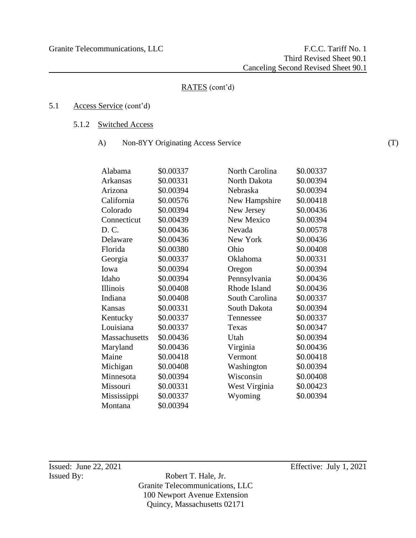# 5.1 Access Service (cont'd)

- 5.1.2 Switched Access
	- A) Non-8YY Originating Access Service

| \$0.00337 | North Carolina      | \$0.00337 |
|-----------|---------------------|-----------|
| \$0.00331 | <b>North Dakota</b> | \$0.00394 |
| \$0.00394 | Nebraska            | \$0.00394 |
| \$0.00576 | New Hampshire       | \$0.00418 |
| \$0.00394 | New Jersey          | \$0.00436 |
| \$0.00439 | New Mexico          | \$0.00394 |
| \$0.00436 | Nevada              | \$0.00578 |
| \$0.00436 | New York            | \$0.00436 |
| \$0.00380 | Ohio                | \$0.00408 |
| \$0.00337 | Oklahoma            | \$0.00331 |
| \$0.00394 | Oregon              | \$0.00394 |
| \$0.00394 | Pennsylvania        | \$0.00436 |
| \$0.00408 | Rhode Island        | \$0.00436 |
| \$0.00408 | South Carolina      | \$0.00337 |
| \$0.00331 | South Dakota        | \$0.00394 |
| \$0.00337 | Tennessee           | \$0.00337 |
| \$0.00337 | Texas               | \$0.00347 |
| \$0.00436 | Utah                | \$0.00394 |
| \$0.00436 | Virginia            | \$0.00436 |
| \$0.00418 | Vermont             | \$0.00418 |
| \$0.00408 | Washington          | \$0.00394 |
| \$0.00394 | Wisconsin           | \$0.00408 |
| \$0.00331 | West Virginia       | \$0.00423 |
| \$0.00337 | Wyoming             | \$0.00394 |
| \$0.00394 |                     |           |
|           |                     |           |

Issued By: Robert T. Hale, Jr. Granite Telecommunications, LLC 100 Newport Avenue Extension Quincy, Massachusetts 02171

Issued: June 22, 2021 Effective: July 1, 2021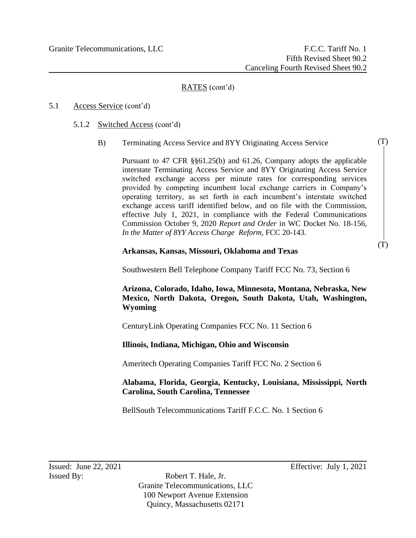## 5.1 Access Service (cont'd)

- 5.1.2 Switched Access (cont'd)
	- B) Terminating Access Service and 8YY Originating Access Service

Pursuant to 47 CFR §§61.25(b) and 61.26, Company adopts the applicable interstate Terminating Access Service and 8YY Originating Access Service switched exchange access per minute rates for corresponding services provided by competing incumbent local exchange carriers in Company's operating territory, as set forth in each incumbent's interstate switched exchange access tariff identified below, and on file with the Commission, effective July 1, 2021, in compliance with the Federal Communications Commission October 9, 2020 *Report and Order* in WC Docket No. 18-156, *In the Matter of 8YY Access Charge Reform*, FCC 20-143.

#### **Arkansas, Kansas, Missouri, Oklahoma and Texas**

Southwestern Bell Telephone Company Tariff FCC No. 73, Section 6

**Arizona, Colorado, Idaho, Iowa, Minnesota, Montana, Nebraska, New Mexico, North Dakota, Oregon, South Dakota, Utah, Washington, Wyoming**

CenturyLink Operating Companies FCC No. 11 Section 6

**Illinois, Indiana, Michigan, Ohio and Wisconsin**

Ameritech Operating Companies Tariff FCC No. 2 Section 6

## **Alabama, Florida, Georgia, Kentucky, Louisiana, Mississippi, North Carolina, South Carolina, Tennessee**

BellSouth Telecommunications Tariff F.C.C. No. 1 Section 6

**Issued:** June 22, 2021 **Effective:** July 1, 2021

(T)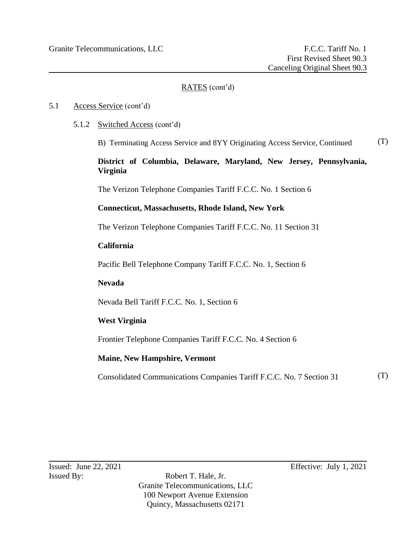# 5.1 Access Service (cont'd)

5.1.2 Switched Access (cont'd)

B) Terminating Access Service and 8YY Originating Access Service, Continued (T)

# **District of Columbia, Delaware, Maryland, New Jersey, Pennsylvania, Virginia**

The Verizon Telephone Companies Tariff F.C.C. No. 1 Section 6

# **Connecticut, Massachusetts, Rhode Island, New York**

The Verizon Telephone Companies Tariff F.C.C. No. 11 Section 31

## **California**

Pacific Bell Telephone Company Tariff F.C.C. No. 1, Section 6

# **Nevada**

Nevada Bell Tariff F.C.C. No. 1, Section 6

# **West Virginia**

Frontier Telephone Companies Tariff F.C.C. No. 4 Section 6

# **Maine, New Hampshire, Vermont**

Consolidated Communications Companies Tariff F.C.C. No. 7 Section 31 (T)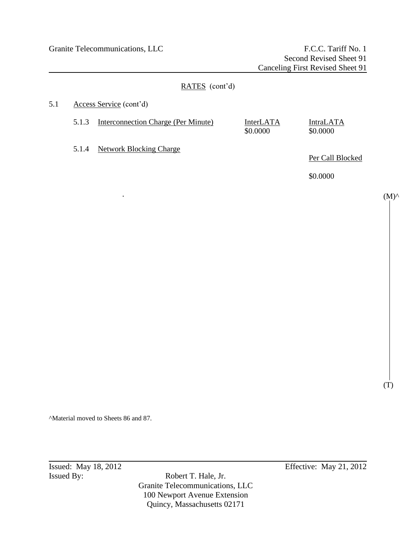# RATES (cont'd) 5.1 Access Service (cont'd) 5.1.3 Interconnection Charge (Per Minute) InterLATA IntraLATA \$0.0000 \$0.0000 5.1.4 Network Blocking Charge Per Call Blocked \$0.0000 .

^Material moved to Sheets 86 and 87.

Issued By: Robert T. Hale, Jr. Granite Telecommunications, LLC 100 Newport Avenue Extension Quincy, Massachusetts 02171

**Issued:** May 18, 2012 **Effective:** May 21, 2012

 $(M)^\wedge$ 

(T)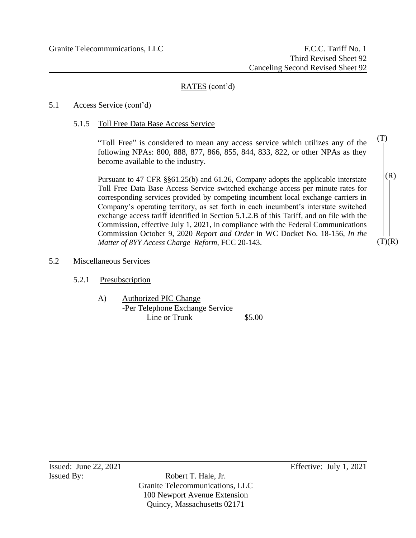# 5.1 Access Service (cont'd)

5.1.5 Toll Free Data Base Access Service

"Toll Free" is considered to mean any access service which utilizes any of the following NPAs: 800, 888, 877, 866, 855, 844, 833, 822, or other NPAs as they become available to the industry.

Pursuant to 47 CFR §§61.25(b) and 61.26, Company adopts the applicable interstate Toll Free Data Base Access Service switched exchange access per minute rates for corresponding services provided by competing incumbent local exchange carriers in Company's operating territory, as set forth in each incumbent's interstate switched exchange access tariff identified in Section 5.1.2.B of this Tariff, and on file with the Commission, effective July 1, 2021, in compliance with the Federal Communications Commission October 9, 2020 *Report and Order* in WC Docket No. 18-156, *In the Matter of 8YY Access Charge Reform*, FCC 20-143.

# 5.2 Miscellaneous Services

- 5.2.1 Presubscription
	- A) Authorized PIC Change -Per Telephone Exchange Service Line or Trunk \$5.00

Issued: June 22, 2021 Effective: July 1, 2021

 $(T)(R)$ 

 $(R)$ 

(T)